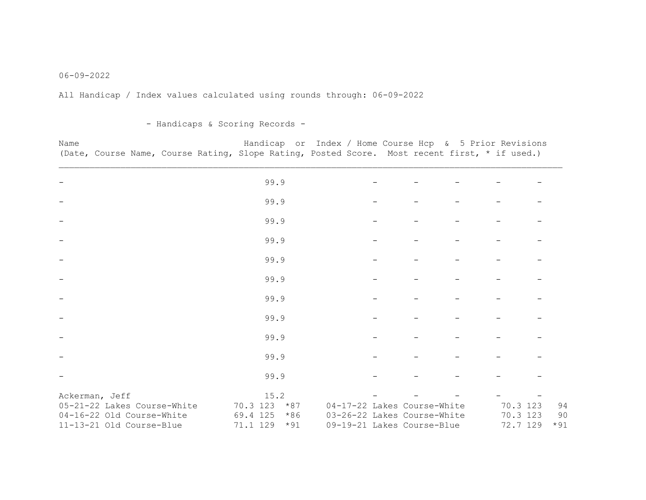## 06-09-2022

All Handicap / Index values calculated using rounds through: 06-09-2022

- Handicaps & Scoring Records -

| Name |                                                                                               |  |  |  | Handicap or Index / Home Course Hcp & 5 Prior Revisions |  |  |  |  |  |
|------|-----------------------------------------------------------------------------------------------|--|--|--|---------------------------------------------------------|--|--|--|--|--|
|      | (Date, Course Name, Course Rating, Slope Rating, Posted Score. Most recent first, * if used.) |  |  |  |                                                         |  |  |  |  |  |

|                                                       | 99.9                                   |                                                           |                         |             |
|-------------------------------------------------------|----------------------------------------|-----------------------------------------------------------|-------------------------|-------------|
|                                                       | 99.9                                   |                                                           |                         |             |
|                                                       | 99.9                                   |                                                           |                         |             |
|                                                       | 99.9                                   |                                                           |                         |             |
|                                                       | 99.9                                   |                                                           |                         |             |
|                                                       | 99.9                                   |                                                           |                         |             |
|                                                       | 99.9                                   |                                                           |                         |             |
|                                                       | 99.9                                   |                                                           |                         |             |
|                                                       | 99.9                                   |                                                           |                         |             |
|                                                       | 99.9                                   |                                                           |                         |             |
|                                                       | 99.9                                   |                                                           |                         |             |
| Ackerman, Jeff<br>05-21-22 Lakes Course-White         | 15.2<br>70.3 123<br>$*87$              | 04-17-22 Lakes Course-White                               | 70.3<br>123             | 94          |
| 04-16-22 Old Course-White<br>11-13-21 Old Course-Blue | 69.4 125<br>$*86$<br>71.1 129<br>$*91$ | 03-26-22 Lakes Course-White<br>09-19-21 Lakes Course-Blue | 70.3<br>123<br>72.7 129 | 90<br>$*91$ |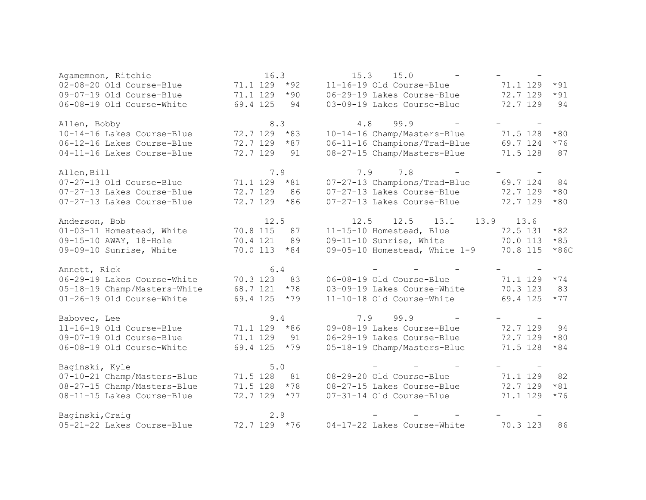| Agamemnon, Ritchie           | 16.3              | 15.3<br>15.0<br>$\equiv$      | $\overline{\phantom{m}}$ |        |
|------------------------------|-------------------|-------------------------------|--------------------------|--------|
| 02-08-20 Old Course-Blue     | 71.1 129<br>$*92$ | 11-16-19 Old Course-Blue      | 71.1 129                 | $*91$  |
| 09-07-19 Old Course-Blue     | 71.1 129<br>$*90$ | 06-29-19 Lakes Course-Blue    | 72.7 129                 | $*91$  |
| 06-08-19 Old Course-White    | 69.4 125<br>94    | 03-09-19 Lakes Course-Blue    | 72.7 129                 | 94     |
| Allen, Bobby                 | 8.3               | 4.8<br>99.9                   |                          |        |
| 10-14-16 Lakes Course-Blue   | $72.7$ 129 $*83$  | 10-14-16 Champ/Masters-Blue   | 71.5 128                 | $*80$  |
| 06-12-16 Lakes Course-Blue   | 72.7 129<br>$*87$ | 06-11-16 Champions/Trad-Blue  | 69.7 124                 | $*76$  |
| 04-11-16 Lakes Course-Blue   | 72.7 129<br>91    | 08-27-15 Champ/Masters-Blue   | 71.5 128                 | 87     |
| Allen, Bill                  | 7.9               | $7.8 -$<br>7.9                |                          |        |
| 07-27-13 Old Course-Blue     | 71.1 129<br>$*81$ | 07-27-13 Champions/Trad-Blue  | 69.7 124                 | 84     |
| 07-27-13 Lakes Course-Blue   | 72.7 129<br>86    | 07-27-13 Lakes Course-Blue    | 72.7 129                 | $*80$  |
| 07-27-13 Lakes Course-Blue   | $*86$<br>72.7 129 | 07-27-13 Lakes Course-Blue    | 72.7 129                 | $*80$  |
| Anderson, Bob                | 12.5              | 12.5<br>13.9<br>12.5<br>13.1  | 13.6                     |        |
| 01-03-11 Homestead, White    | 70.8 115<br>87    | 11-15-10 Homestead, Blue      | 72.5 131                 | $*82$  |
| 09-15-10 AWAY, 18-Hole       | 89<br>70.4 121    | 09-11-10 Sunrise, White       | 70.0 113                 | $*85$  |
| 09-09-10 Sunrise, White      | 70.0 113<br>$*84$ | 09-05-10 Homestead, White 1-9 | 70.8 115                 | $*86C$ |
| Annett, Rick                 | $6.4$             | <b>Contract Contract</b>      | $\overline{\phantom{a}}$ |        |
| 06-29-19 Lakes Course-White  | 70.3 123<br>83    | 06-08-19 Old Course-Blue      | 71.1 129                 | $*74$  |
| 05-18-19 Champ/Masters-White | 68.7 121<br>$*78$ | 03-09-19 Lakes Course-White   | 70.3 123                 | 83     |
| 01-26-19 Old Course-White    | 69.4 125<br>$*79$ | 11-10-18 Old Course-White     | 69.4 125                 | $*77$  |
| Babovec, Lee                 | 9.4               | 7.9<br>99.9                   |                          |        |
| 11-16-19 Old Course-Blue     | 71.1 129 *86      | 09-08-19 Lakes Course-Blue    | 72.7 129                 | 94     |
| 09-07-19 Old Course-Blue     | 71.1 129<br>91    | 06-29-19 Lakes Course-Blue    | 72.7 129                 | $*80$  |
| 06-08-19 Old Course-White    | 69.4 125<br>$*79$ | 05-18-19 Champ/Masters-Blue   | 71.5 128                 | $*84$  |
| Baginski, Kyle               | $5.0$             |                               |                          |        |
| 07-10-21 Champ/Masters-Blue  | 71.5 128<br>81    | 08-29-20 Old Course-Blue      | 71.1 129                 | 82     |
| 08-27-15 Champ/Masters-Blue  | 71.5 128<br>$*78$ | 08-27-15 Lakes Course-Blue    | 72.7 129                 | $*81$  |
| 08-11-15 Lakes Course-Blue   | 72.7 129<br>$*77$ | 07-31-14 Old Course-Blue      | 71.1 129                 | $*76$  |
| Baginski, Craig              | 2.9               |                               |                          |        |
| 05-21-22 Lakes Course-Blue   | 72.7 129 *76      | 04-17-22 Lakes Course-White   | 70.3 123                 | 86     |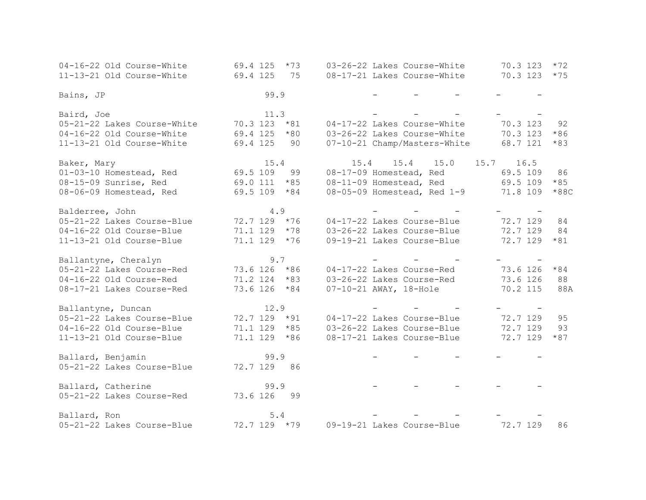| 04-16-22 Old Course-White   | 69.4 125<br>$*73$ | 03-26-22 Lakes Course-White<br>70.3 123  | $*72$  |
|-----------------------------|-------------------|------------------------------------------|--------|
| 11-13-21 Old Course-White   | 69.4 125<br>75    | 70.3 123<br>08-17-21 Lakes Course-White  | $*75$  |
|                             |                   |                                          |        |
| Bains, JP                   | 99.9              |                                          |        |
|                             |                   |                                          |        |
| Baird, Joe                  | 11.3              |                                          |        |
| 05-21-22 Lakes Course-White | 70.3 123<br>$*81$ | 70.3 123<br>04-17-22 Lakes Course-White  | 92     |
| 04-16-22 Old Course-White   | 69.4 125<br>$*80$ | 03-26-22 Lakes Course-White<br>70.3 123  | $*86$  |
| 11-13-21 Old Course-White   | 69.4 125<br>90    | 07-10-21 Champ/Masters-White<br>68.7 121 | $*83$  |
|                             |                   |                                          |        |
| Baker, Mary                 | 15.4              | 15.4<br>15.4<br>15.0<br>15.7<br>16.5     |        |
| 01-03-10 Homestead, Red     | 69.5 109<br>99    | 08-17-09 Homestead, Red<br>69.5 109      | 86     |
| 08-15-09 Sunrise, Red       | 69.0 111<br>$*85$ | 08-11-09 Homestead, Red<br>69.5 109      | $*85$  |
| 08-06-09 Homestead, Red     | 69.5 109<br>$*84$ | 08-05-09 Homestead, Red 1-9<br>71.8 109  | $*88C$ |
| Balderree, John             | 4.9               |                                          |        |
| 05-21-22 Lakes Course-Blue  | 72.7 129 *76      | 72.7 129<br>04-17-22 Lakes Course-Blue   | 84     |
| 04-16-22 Old Course-Blue    | 71.1 129<br>$*78$ | 03-26-22 Lakes Course-Blue<br>72.7 129   | 84     |
| 11-13-21 Old Course-Blue    | 71.1 129 *76      | 09-19-21 Lakes Course-Blue<br>72.7 129   | $*81$  |
|                             |                   |                                          |        |
| Ballantyne, Cheralyn        | 9.7               |                                          |        |
| 05-21-22 Lakes Course-Red   | 73.6 126<br>$*86$ | 73.6 126<br>04-17-22 Lakes Course-Red    | $*84$  |
| 04-16-22 Old Course-Red     | 71.2 124<br>$*83$ | 03-26-22 Lakes Course-Red<br>73.6 126    | 88     |
| 08-17-21 Lakes Course-Red   | 73.6 126<br>$*84$ | $07 - 10 - 21$ AWAY, 18-Hole<br>70.2 115 | 88A    |
|                             |                   |                                          |        |
| Ballantyne, Duncan          | 12.9              |                                          |        |
| 05-21-22 Lakes Course-Blue  | $72.7$ 129 $*91$  | 72.7 129<br>04-17-22 Lakes Course-Blue   | 95     |
| 04-16-22 Old Course-Blue    | 71.1 129<br>$*85$ | 72.7 129<br>03-26-22 Lakes Course-Blue   | 93     |
| 11-13-21 Old Course-Blue    | 71.1 129 *86      | 72.7 129<br>08-17-21 Lakes Course-Blue   | $*87$  |
|                             |                   |                                          |        |
| Ballard, Benjamin           | 99.9              |                                          |        |
| 05-21-22 Lakes Course-Blue  | 72.7 129<br>86    |                                          |        |
| Ballard, Catherine          | 99.9              |                                          |        |
| 05-21-22 Lakes Course-Red   | 73.6 126<br>99    |                                          |        |
|                             |                   |                                          |        |
| Ballard, Ron                | $5.4$             |                                          |        |
| 05-21-22 Lakes Course-Blue  | 72.7 129 *79      | 09-19-21 Lakes Course-Blue<br>72.7 129   | 86     |
|                             |                   |                                          |        |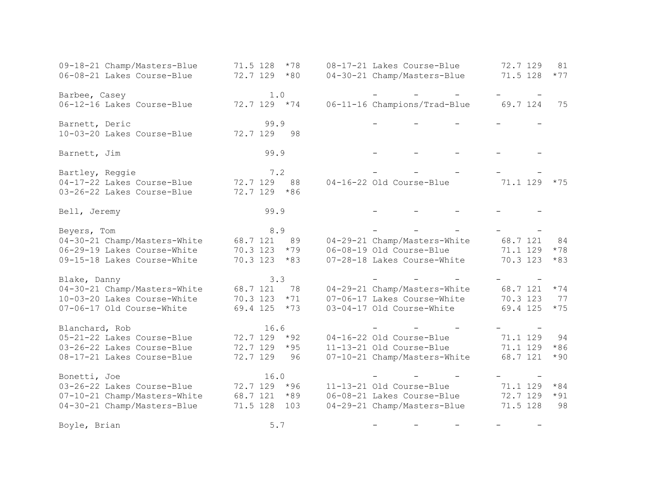| 09-18-21 Champ/Masters-Blue<br>06-08-21 Lakes Course-Blue | 71.5 128<br>$*78$<br>$*80$<br>72.7 129 | 08-17-21 Lakes Course-Blue<br>04-30-21 Champ/Masters-Blue | 72.7 129<br>81<br>71.5 128<br>$*77$ |
|-----------------------------------------------------------|----------------------------------------|-----------------------------------------------------------|-------------------------------------|
| Barbee, Casey                                             | 1.0                                    |                                                           |                                     |
| 06-12-16 Lakes Course-Blue                                | 72.7 129 *74                           | 06-11-16 Champions/Trad-Blue                              | 69.7 124<br>75                      |
| Barnett, Deric<br>10-03-20 Lakes Course-Blue              | 99.9<br>72.7 129<br>98                 |                                                           |                                     |
|                                                           |                                        |                                                           |                                     |
| Barnett, Jim                                              | 99.9                                   |                                                           |                                     |
| Bartley, Reggie                                           | 7.2                                    |                                                           |                                     |
| 04-17-22 Lakes Course-Blue<br>03-26-22 Lakes Course-Blue  | 72.7 129<br>88<br>72.7 129<br>$*86$    | 04-16-22 Old Course-Blue                                  | 71.1 129<br>$*75$                   |
| Bell, Jeremy                                              | 99.9                                   |                                                           |                                     |
| Beyers, Tom                                               | 8.9                                    |                                                           |                                     |
| 04-30-21 Champ/Masters-White                              | 68.7 121<br>89                         | 04-29-21 Champ/Masters-White                              | 68.7 121<br>84                      |
| 06-29-19 Lakes Course-White                               | 70.3 123<br>$*79$                      | 06-08-19 Old Course-Blue                                  | 71.1 129<br>$*78$                   |
| 09-15-18 Lakes Course-White                               | 70.3 123<br>$*83$                      | 07-28-18 Lakes Course-White                               | 70.3 123<br>$*83$                   |
| Blake, Danny                                              | 3.3                                    |                                                           |                                     |
| 04-30-21 Champ/Masters-White                              | 68.7 121<br>78                         | 04-29-21 Champ/Masters-White                              | 68.7 121<br>$*74$                   |
| 10-03-20 Lakes Course-White                               | 70.3 123<br>$*71$                      | 07-06-17 Lakes Course-White                               | 70.3 123<br>77                      |
| 07-06-17 Old Course-White                                 | 69.4 125<br>$*73$                      | 03-04-17 Old Course-White                                 | 69.4 125<br>$*75$                   |
| Blanchard, Rob                                            | 16.6                                   |                                                           |                                     |
| 05-21-22 Lakes Course-Blue                                | 72.7 129<br>$*92$                      | 04-16-22 Old Course-Blue                                  | 71.1 129<br>94                      |
| 03-26-22 Lakes Course-Blue                                | 72.7 129<br>$*95$                      | 11-13-21 Old Course-Blue                                  | 71.1 129<br>$*86$                   |
| 08-17-21 Lakes Course-Blue                                | 72.7 129<br>96                         | 07-10-21 Champ/Masters-White                              | 68.7 121<br>$*90$                   |
| Bonetti, Joe                                              | 16.0                                   |                                                           |                                     |
| 03-26-22 Lakes Course-Blue                                | 72.7 129 *96                           | 11-13-21 Old Course-Blue                                  | 71.1 129<br>$*84$                   |
| 07-10-21 Champ/Masters-White                              | 68.7 121<br>$*89$                      | 06-08-21 Lakes Course-Blue                                | 72.7 129<br>$*91$                   |
| 04-30-21 Champ/Masters-Blue                               | 103<br>71.5 128                        | 04-29-21 Champ/Masters-Blue                               | 98<br>71.5 128                      |
| Boyle, Brian                                              | 5.7                                    |                                                           |                                     |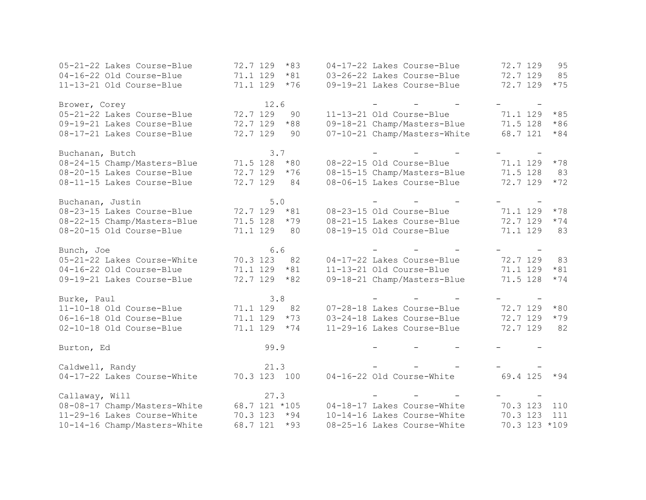| 05-21-22 Lakes Course-Blue   | 72.7 129<br>$*83$ | 04-17-22 Lakes Course-Blue   | 72.7 129<br>95    |
|------------------------------|-------------------|------------------------------|-------------------|
| 04-16-22 Old Course-Blue     | 71.1 129<br>$*81$ | 03-26-22 Lakes Course-Blue   | 72.7 129<br>85    |
| 11-13-21 Old Course-Blue     | 71.1 129<br>$*76$ | 09-19-21 Lakes Course-Blue   | 72.7 129<br>$*75$ |
|                              |                   |                              |                   |
| Brower, Corey                | 12.6              |                              |                   |
| 05-21-22 Lakes Course-Blue   | 72.7 129<br>90    | 11-13-21 Old Course-Blue     | 71.1 129<br>$*85$ |
| 09-19-21 Lakes Course-Blue   | 72.7 129<br>$*88$ | 09-18-21 Champ/Masters-Blue  | 71.5 128<br>$*86$ |
| 08-17-21 Lakes Course-Blue   | 72.7 129<br>90    | 07-10-21 Champ/Masters-White | 68.7 121<br>$*84$ |
| Buchanan, Butch              | 3.7               |                              |                   |
| 08-24-15 Champ/Masters-Blue  | 71.5 128<br>$*80$ | 08-22-15 Old Course-Blue     | 71.1 129<br>$*78$ |
| 08-20-15 Lakes Course-Blue   | 72.7 129<br>$*76$ | 08-15-15 Champ/Masters-Blue  | 71.5 128<br>83    |
| 08-11-15 Lakes Course-Blue   | 72.7 129<br>84    | 08-06-15 Lakes Course-Blue   | 72.7 129<br>$*72$ |
|                              |                   |                              |                   |
| Buchanan, Justin             | $5.0$             |                              |                   |
| 08-23-15 Lakes Course-Blue   | 72.7 129<br>$*81$ | 08-23-15 Old Course-Blue     | 71.1 129<br>$*78$ |
| 08-22-15 Champ/Masters-Blue  | 71.5 128<br>$*79$ | 08-21-15 Lakes Course-Blue   | 72.7 129<br>$*74$ |
| 08-20-15 Old Course-Blue     | 71.1 129<br>80    | 08-19-15 Old Course-Blue     | 71.1 129<br>83    |
| Bunch, Joe                   | 6.6               |                              |                   |
| 05-21-22 Lakes Course-White  | 70.3 123<br>82    | 04-17-22 Lakes Course-Blue   | 72.7 129<br>83    |
| 04-16-22 Old Course-Blue     | 71.1 129<br>$*81$ | 11-13-21 Old Course-Blue     | 71.1 129<br>$*81$ |
| 09-19-21 Lakes Course-Blue   | 72.7 129<br>$*82$ | 09-18-21 Champ/Masters-Blue  | 71.5 128<br>$*74$ |
| Burke, Paul                  | 3.8               |                              |                   |
| 11-10-18 Old Course-Blue     | 71.1 129<br>82    | 07-28-18 Lakes Course-Blue   | 72.7 129<br>$*80$ |
| 06-16-18 Old Course-Blue     | 71.1 129<br>$*73$ | 03-24-18 Lakes Course-Blue   | 72.7 129<br>$*79$ |
| 02-10-18 Old Course-Blue     | 71.1 129<br>$*74$ | 11-29-16 Lakes Course-Blue   | 72.7 129<br>82    |
|                              |                   |                              |                   |
| Burton, Ed                   | 99.9              |                              |                   |
| Caldwell, Randy              | 21.3              |                              |                   |
| 04-17-22 Lakes Course-White  | 70.3 123 100      | 04-16-22 Old Course-White    | 69.4 125<br>$*94$ |
|                              |                   |                              |                   |
| Callaway, Will               | 27.3              |                              |                   |
| 08-08-17 Champ/Masters-White | 68.7 121 *105     | 04-18-17 Lakes Course-White  | 70.3 123<br>110   |
| 11-29-16 Lakes Course-White  | 70.3 123 *94      | 10-14-16 Lakes Course-White  | 70.3 123<br>111   |
| 10-14-16 Champ/Masters-White | 68.7 121<br>$*93$ | 08-25-16 Lakes Course-White  | 70.3 123 *109     |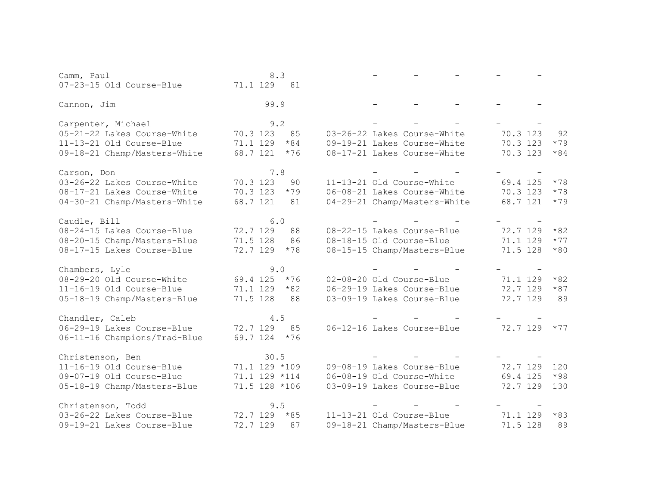| Camm, Paul                   |                   | 8.3   |  |                              |          |       |
|------------------------------|-------------------|-------|--|------------------------------|----------|-------|
| 07-23-15 Old Course-Blue     | 71.1 129 81       |       |  |                              |          |       |
| Cannon, Jim                  |                   | 99.9  |  |                              |          |       |
| Carpenter, Michael           |                   | 9.2   |  |                              |          |       |
| 05-21-22 Lakes Course-White  | 70.3 123          | 85    |  | 03-26-22 Lakes Course-White  | 70.3 123 | 92    |
| 11-13-21 Old Course-Blue     | 71.1 129          | $*84$ |  | 09-19-21 Lakes Course-White  | 70.3 123 | $*79$ |
| 09-18-21 Champ/Masters-White | 68.7 121          | $*76$ |  | 08-17-21 Lakes Course-White  | 70.3 123 | $*84$ |
| Carson, Don                  |                   | 7.8   |  |                              |          |       |
| 03-26-22 Lakes Course-White  | 70.3 123          | 90    |  | 11-13-21 Old Course-White    | 69.4 125 | $*78$ |
| 08-17-21 Lakes Course-White  | 70.3 123          | $*79$ |  | 06-08-21 Lakes Course-White  | 70.3 123 | $*78$ |
| 04-30-21 Champ/Masters-White | 68.7 121          | 81    |  | 04-29-21 Champ/Masters-White | 68.7 121 | $*79$ |
| Caudle, Bill                 |                   | 6.0   |  |                              |          |       |
| 08-24-15 Lakes Course-Blue   | 72.7 129          | 88    |  | 08-22-15 Lakes Course-Blue   | 72.7 129 | $*82$ |
| 08-20-15 Champ/Masters-Blue  | 71.5 128          | 86    |  | 08-18-15 Old Course-Blue     | 71.1 129 | $*77$ |
| 08-17-15 Lakes Course-Blue   | 72.7 129          | $*78$ |  | 08-15-15 Champ/Masters-Blue  | 71.5 128 | $*80$ |
| Chambers, Lyle               |                   | 9.0   |  |                              |          |       |
| 08-29-20 Old Course-White    | 69.4 125          | $*76$ |  | 02-08-20 Old Course-Blue     | 71.1 129 | $*82$ |
| 11-16-19 Old Course-Blue     | 71.1 129          | $*82$ |  | 06-29-19 Lakes Course-Blue   | 72.7 129 | $*87$ |
| 05-18-19 Champ/Masters-Blue  | 71.5 128          | 88    |  | 03-09-19 Lakes Course-Blue   | 72.7 129 | 89    |
| Chandler, Caleb              |                   | 4.5   |  |                              |          |       |
| 06-29-19 Lakes Course-Blue   | 72.7 129          | 85    |  | 06-12-16 Lakes Course-Blue   | 72.7 129 | $*77$ |
| 06-11-16 Champions/Trad-Blue | 69.7 124          | $*76$ |  |                              |          |       |
| Christenson, Ben             |                   | 30.5  |  |                              |          |       |
| 11-16-19 Old Course-Blue     | $71.1$ 129 $*109$ |       |  | 09-08-19 Lakes Course-Blue   | 72.7 129 | 120   |
| 09-07-19 Old Course-Blue     | 71.1 129 *114     |       |  | 06-08-19 Old Course-White    | 69.4 125 | $*98$ |
| 05-18-19 Champ/Masters-Blue  | 71.5 128 *106     |       |  | 03-09-19 Lakes Course-Blue   | 72.7 129 | 130   |
| Christenson, Todd            |                   | 9.5   |  |                              |          |       |
| 03-26-22 Lakes Course-Blue   | 72.7 129          | $*85$ |  | 11-13-21 Old Course-Blue     | 71.1 129 | $*83$ |
| 09-19-21 Lakes Course-Blue   | 72.7 129          | 87    |  | 09-18-21 Champ/Masters-Blue  | 71.5 128 | 89    |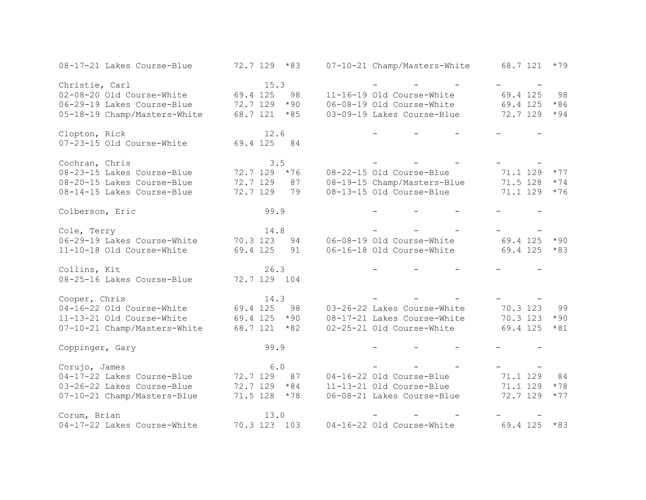| 08-17-21 Lakes Course-Blue   | 72.7 129 *83      | 07-10-21 Champ/Masters-White | 68.7 121<br>$*79$ |
|------------------------------|-------------------|------------------------------|-------------------|
| Christie, Carl               | 15.3              |                              |                   |
| 02-08-20 Old Course-White    | 69.4 125<br>98    | 11-16-19 Old Course-White    | 69.4 125<br>98    |
| 06-29-19 Lakes Course-Blue   | 72.7 129<br>$*90$ | 06-08-19 Old Course-White    | 69.4 125<br>$*86$ |
| 05-18-19 Champ/Masters-White | $*85$<br>68.7 121 | 03-09-19 Lakes Course-Blue   | 72.7 129<br>$*94$ |
| Clopton, Rick                | 12.6              |                              |                   |
| 07-23-15 Old Course-White    | 69.4 125<br>84    |                              |                   |
| Cochran, Chris               | 3.5               |                              |                   |
| 08-23-15 Lakes Course-Blue   | 72.7 129<br>$*76$ | 08-22-15 Old Course-Blue     | 71.1 129<br>$*77$ |
| 08-20-15 Lakes Course-Blue   | 72.7 129<br>87    | 08-19-15 Champ/Masters-Blue  | 71.5 128<br>$*74$ |
| 08-14-15 Lakes Course-Blue   | 72.7 129<br>79    | 08-13-15 Old Course-Blue     | 71.1 129<br>$*76$ |
| Colberson, Eric              | 99.9              |                              |                   |
| Cole, Terry                  | 14.8              |                              |                   |
| 06-29-19 Lakes Course-White  | 70.3 123<br>94    | 06-08-19 Old Course-White    | 69.4 125<br>$*90$ |
| 11-10-18 Old Course-White    | 69.4 125<br>91    | 06-16-18 Old Course-White    | 69.4 125<br>$*83$ |
| Collins, Kit                 | 26.3              |                              |                   |
| 08-25-16 Lakes Course-Blue   | 72.7 129 104      |                              |                   |
| Cooper, Chris                | 14.3              |                              |                   |
| 04-16-22 Old Course-White    | 69.4 125<br>98    | 03-26-22 Lakes Course-White  | 70.3 123<br>99    |
| 11-13-21 Old Course-White    | 69.4 125<br>$*90$ | 08-17-21 Lakes Course-White  | 70.3 123<br>$*90$ |
| 07-10-21 Champ/Masters-White | 68.7 121<br>$*82$ | 02-25-21 Old Course-White    | 69.4 125<br>$*81$ |
| Coppinger, Gary              | 99.9              |                              |                   |
| Corujo, James                | 6.0               |                              |                   |
| 04-17-22 Lakes Course-Blue   | 72.7 129<br>87    | 04-16-22 Old Course-Blue     | 71.1 129<br>84    |
| 03-26-22 Lakes Course-Blue   | $72.7$ 129 $*84$  | 11-13-21 Old Course-Blue     | 71.1 129<br>$*78$ |
| 07-10-21 Champ/Masters-Blue  | 71.5 128<br>$*78$ | 06-08-21 Lakes Course-Blue   | 72.7 129<br>$*77$ |
| Corum, Brian                 | 13.0              |                              |                   |
| 04-17-22 Lakes Course-White  | 70.3 123 103      | 04-16-22 Old Course-White    | 69.4 125<br>$*83$ |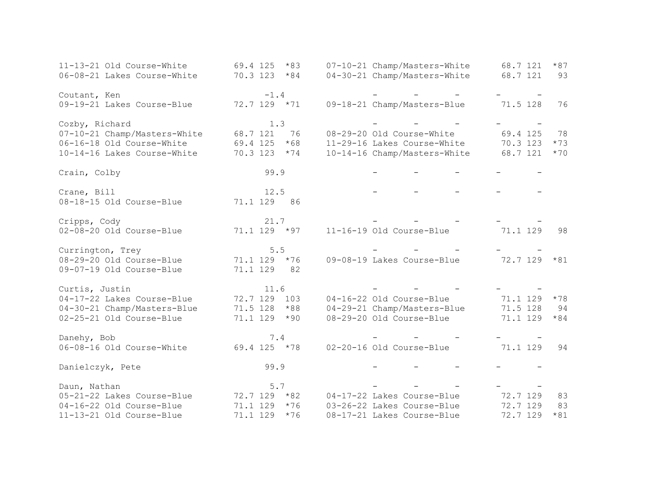| 11-13-21 Old Course-White    | 69.4 125<br>$*83$ | 07-10-21 Champ/Masters-White | $*87$<br>68.7 121 |
|------------------------------|-------------------|------------------------------|-------------------|
| 06-08-21 Lakes Course-White  | $70.3$ 123 $*84$  | 04-30-21 Champ/Masters-White | 68.7 121<br>93    |
| Coutant, Ken                 | $-1.4$            |                              |                   |
| 09-19-21 Lakes Course-Blue   | $72.7$ 129 $*71$  | 09-18-21 Champ/Masters-Blue  | 71.5 128<br>76    |
| Cozby, Richard               | 1.3               |                              |                   |
| 07-10-21 Champ/Masters-White | 76<br>68.7 121    | 08-29-20 Old Course-White    | 69.4 125<br>78    |
| 06-16-18 Old Course-White    | $*68$<br>69.4 125 | 11-29-16 Lakes Course-White  | 70.3 123<br>$*73$ |
| 10-14-16 Lakes Course-White  | $70.3$ 123 $*74$  | 10-14-16 Champ/Masters-White | 68.7 121<br>$*70$ |
| Crain, Colby                 | 99.9              |                              |                   |
| Crane, Bill                  | 12.5              |                              |                   |
| 08-18-15 Old Course-Blue     | 71.1 129 86       |                              |                   |
| Cripps, Cody                 | 21.7              |                              |                   |
| 02-08-20 Old Course-Blue     | $71.1$ 129 $*97$  | 11-16-19 Old Course-Blue     | 71.1 129<br>98    |
| Currington, Trey             | $5.5$             |                              |                   |
| 08-29-20 Old Course-Blue     | $71.1$ 129 $*76$  | 09-08-19 Lakes Course-Blue   | 72.7 129<br>$*81$ |
| 09-07-19 Old Course-Blue     | 71.1 129<br>82    |                              |                   |
| Curtis, Justin               | 11.6              |                              |                   |
| 04-17-22 Lakes Course-Blue   | 72.7 129 103      | 04-16-22 Old Course-Blue     | 71.1 129<br>$*78$ |
| 04-30-21 Champ/Masters-Blue  | 71.5 128<br>$*88$ | 04-29-21 Champ/Masters-Blue  | 71.5 128<br>94    |
| 02-25-21 Old Course-Blue     | 71.1 129<br>$*90$ | 08-29-20 Old Course-Blue     | 71.1 129<br>$*84$ |
| Danehy, Bob                  | 7.4               |                              |                   |
| 06-08-16 Old Course-White    | $69.4$ 125 $*78$  | 02-20-16 Old Course-Blue     | 71.1 129<br>94    |
| Danielczyk, Pete             | 99.9              |                              |                   |
| Daun, Nathan                 | 5.7               |                              |                   |
| 05-21-22 Lakes Course-Blue   | $72.7$ 129 $*82$  | 04-17-22 Lakes Course-Blue   | 72.7 129<br>83    |
| 04-16-22 Old Course-Blue     | 71.1 129<br>$*76$ | 03-26-22 Lakes Course-Blue   | 72.7 129<br>83    |
| 11-13-21 Old Course-Blue     | 71.1 129<br>$*76$ | 08-17-21 Lakes Course-Blue   | 72.7 129<br>$*81$ |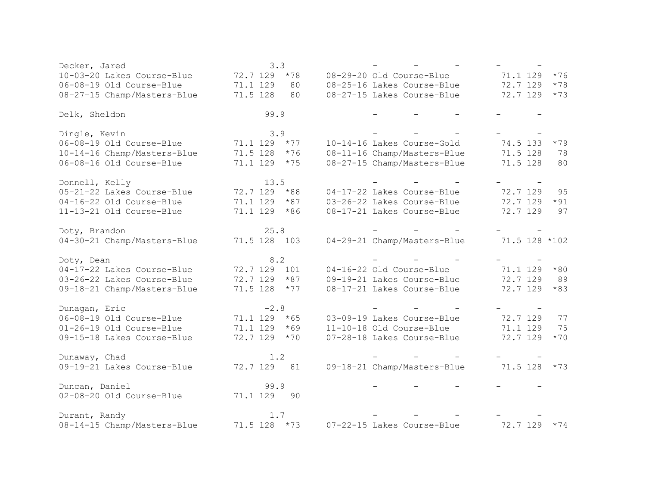| Decker, Jared               | 3.3               |                             |                   |
|-----------------------------|-------------------|-----------------------------|-------------------|
| 10-03-20 Lakes Course-Blue  | 72.7 129<br>$*78$ | 08-29-20 Old Course-Blue    | 71.1 129<br>$*76$ |
| 06-08-19 Old Course-Blue    | 71.1 129<br>80    | 08-25-16 Lakes Course-Blue  | 72.7 129<br>$*78$ |
| 08-27-15 Champ/Masters-Blue | 71.5 128<br>80    | 08-27-15 Lakes Course-Blue  | 72.7 129<br>$*73$ |
| Delk, Sheldon               | 99.9              |                             |                   |
| Dingle, Kevin               | 3.9               |                             |                   |
| 06-08-19 Old Course-Blue    | 71.1 129<br>$*77$ | 10-14-16 Lakes Course-Gold  | 74.5 133<br>$*79$ |
| 10-14-16 Champ/Masters-Blue | 71.5 128<br>$*76$ | 08-11-16 Champ/Masters-Blue | 71.5 128<br>78    |
| 06-08-16 Old Course-Blue    | 71.1 129<br>$*75$ | 08-27-15 Champ/Masters-Blue | 71.5 128<br>80    |
| Donnell, Kelly              | 13.5              |                             |                   |
| 05-21-22 Lakes Course-Blue  | 72.7 129 *88      | 04-17-22 Lakes Course-Blue  | 72.7 129<br>95    |
| 04-16-22 Old Course-Blue    | 71.1 129<br>$*87$ | 03-26-22 Lakes Course-Blue  | 72.7 129<br>$*91$ |
| 11-13-21 Old Course-Blue    | 71.1 129 *86      | 08-17-21 Lakes Course-Blue  | 72.7 129<br>97    |
| Doty, Brandon               | 25.8              |                             |                   |
| 04-30-21 Champ/Masters-Blue | 71.5 128 103      | 04-29-21 Champ/Masters-Blue | 71.5 128 *102     |
|                             |                   |                             |                   |
| Doty, Dean                  | 8.2               |                             |                   |
| 04-17-22 Lakes Course-Blue  | 72.7 129 101      | 04-16-22 Old Course-Blue    | 71.1 129<br>$*80$ |
| 03-26-22 Lakes Course-Blue  | 72.7 129<br>$*87$ | 09-19-21 Lakes Course-Blue  | 72.7 129<br>89    |
| 09-18-21 Champ/Masters-Blue | 71.5 128<br>$*77$ | 08-17-21 Lakes Course-Blue  | 72.7 129<br>$*83$ |
| Dunagan, Eric               | $-2.8$            |                             |                   |
| 06-08-19 Old Course-Blue    | 71.1 129<br>$*65$ | 03-09-19 Lakes Course-Blue  | 72.7 129<br>77    |
| 01-26-19 Old Course-Blue    | 71.1 129<br>$*69$ | 11-10-18 Old Course-Blue    | 71.1 129<br>75    |
| 09-15-18 Lakes Course-Blue  | 72.7 129<br>$*70$ | 07-28-18 Lakes Course-Blue  | 72.7 129<br>$*70$ |
| Dunaway, Chad               | 1.2               |                             |                   |
| 09-19-21 Lakes Course-Blue  | 72.7 129<br>81    | 09-18-21 Champ/Masters-Blue | 71.5 128<br>$*73$ |
| Duncan, Daniel              | 99.9              |                             |                   |
| 02-08-20 Old Course-Blue    | 71.1 129<br>90    |                             |                   |
| Durant, Randy               | 1.7               |                             |                   |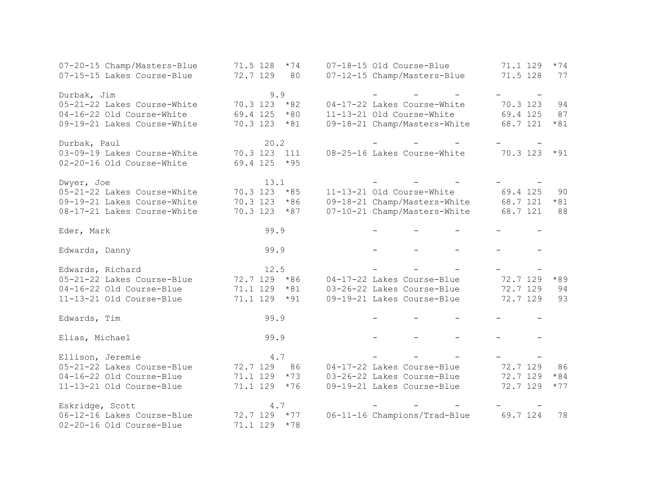| 07-20-15 Champ/Masters-Blue | 71.5 128<br>$*74$ | 07-18-15 Old Course-Blue     | 71.1 129<br>$*74$ |
|-----------------------------|-------------------|------------------------------|-------------------|
| 07-15-15 Lakes Course-Blue  | 72.7 129<br>80    | 07-12-15 Champ/Masters-Blue  | 71.5 128<br>77    |
|                             |                   |                              |                   |
| Durbak, Jim                 | 9.9               |                              |                   |
| 05-21-22 Lakes Course-White | $70.3$ 123 $*82$  | 04-17-22 Lakes Course-White  | 70.3 123<br>94    |
| 04-16-22 Old Course-White   | 69.4 125<br>$*80$ | 11-13-21 Old Course-White    | 69.4 125<br>87    |
| 09-19-21 Lakes Course-White | 70.3 123 *81      | 09-18-21 Champ/Masters-White | 68.7 121<br>$*81$ |
|                             |                   |                              |                   |
| Durbak, Paul                | 20.2              |                              |                   |
| 03-09-19 Lakes Course-White | 70.3 123<br>111   | 08-25-16 Lakes Course-White  | 70.3 123<br>$*91$ |
| 02-20-16 Old Course-White   | 69.4 125<br>$*95$ |                              |                   |
|                             |                   |                              |                   |
| Dwyer, Joe                  | 13.1              |                              |                   |
| 05-21-22 Lakes Course-White | 70.3 123<br>$*85$ | 11-13-21 Old Course-White    | 69.4 125<br>90    |
| 09-19-21 Lakes Course-White | 70.3 123<br>$*86$ | 09-18-21 Champ/Masters-White | 68.7 121<br>$*81$ |
| 08-17-21 Lakes Course-White | 70.3 123<br>$*87$ | 07-10-21 Champ/Masters-White | 68.7 121<br>88    |
|                             |                   |                              |                   |
| Eder, Mark                  | 99.9              |                              |                   |
|                             |                   |                              |                   |
| Edwards, Danny              | 99.9              |                              |                   |
|                             |                   |                              |                   |
| Edwards, Richard            | 12.5              |                              |                   |
| 05-21-22 Lakes Course-Blue  | 72.7 129 *86      | 04-17-22 Lakes Course-Blue   | 72.7 129<br>$*89$ |
| 04-16-22 Old Course-Blue    | 71.1 129<br>$*81$ | 03-26-22 Lakes Course-Blue   | 72.7 129<br>94    |
| 11-13-21 Old Course-Blue    | 71.1 129<br>$*91$ | 09-19-21 Lakes Course-Blue   | 72.7 129<br>93    |
|                             |                   |                              |                   |
| Edwards, Tim                | 99.9              |                              |                   |
|                             |                   |                              |                   |
| Elias, Michael              | 99.9              |                              |                   |
|                             |                   |                              |                   |
| Ellison, Jeremie            | 4.7               |                              |                   |
| 05-21-22 Lakes Course-Blue  | 72.7 129<br>86    | 04-17-22 Lakes Course-Blue   | 72.7 129<br>86    |
| 04-16-22 Old Course-Blue    | 71.1 129<br>$*73$ | 03-26-22 Lakes Course-Blue   | 72.7 129<br>$*84$ |
| 11-13-21 Old Course-Blue    | 71.1 129<br>$*76$ | 09-19-21 Lakes Course-Blue   | 72.7 129<br>$*77$ |
|                             |                   |                              |                   |
| Eskridge, Scott             | 4.7               |                              |                   |
| 06-12-16 Lakes Course-Blue  | $*77$<br>72.7 129 | 06-11-16 Champions/Trad-Blue | 69.7 124<br>78    |
| 02-20-16 Old Course-Blue    | 71.1 129<br>$*78$ |                              |                   |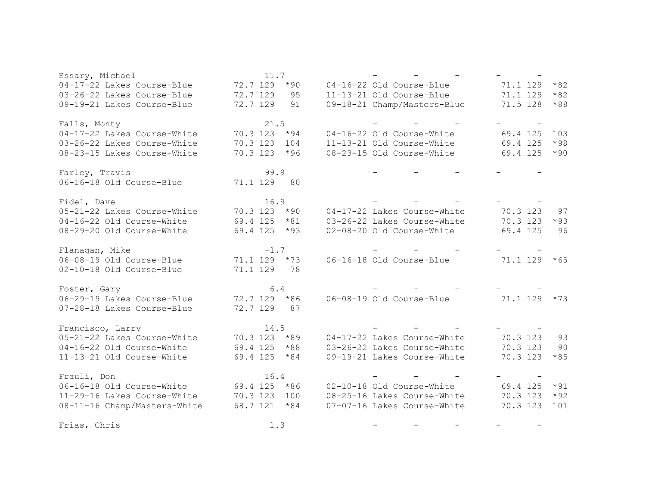| Essary, Michael              | 11.7              |                             |                   |
|------------------------------|-------------------|-----------------------------|-------------------|
| 04-17-22 Lakes Course-Blue   | 72.7 129<br>$*90$ | 04-16-22 Old Course-Blue    | $*82$<br>71.1 129 |
| 03-26-22 Lakes Course-Blue   | 72.7 129<br>95    | 11-13-21 Old Course-Blue    | $*82$<br>71.1 129 |
| 09-19-21 Lakes Course-Blue   | 72.7 129<br>91    | 09-18-21 Champ/Masters-Blue | 71.5 128<br>$*88$ |
|                              |                   |                             |                   |
| Falls, Monty                 | 21.5              |                             |                   |
| 04-17-22 Lakes Course-White  | $70.3$ 123 $*94$  | 04-16-22 Old Course-White   | 69.4 125<br>103   |
| 03-26-22 Lakes Course-White  | 70.3 123 104      | 11-13-21 Old Course-White   | $*98$<br>69.4 125 |
| 08-23-15 Lakes Course-White  | 70.3 123 *96      | 08-23-15 Old Course-White   | 69.4 125<br>$*90$ |
|                              |                   |                             |                   |
| Farley, Travis               | 99.9              |                             |                   |
| 06-16-18 Old Course-Blue     | 71.1 129 80       |                             |                   |
| Fidel, Dave                  | 16.9              |                             |                   |
| 05-21-22 Lakes Course-White  | $70.3$ 123 $*90$  | 04-17-22 Lakes Course-White | 70.3 123<br>97    |
| 04-16-22 Old Course-White    | $69.4$ 125 $*81$  | 03-26-22 Lakes Course-White | 70.3 123<br>$*93$ |
| 08-29-20 Old Course-White    | $69.4$ 125 $*93$  | 02-08-20 Old Course-White   | 69.4 125<br>96    |
|                              |                   |                             |                   |
| Flanagan, Mike               | $-1.7$            |                             |                   |
| 06-08-19 Old Course-Blue     | $71.1$ 129 $*73$  | 06-16-18 Old Course-Blue    | $71.1$ 129 $*65$  |
| 02-10-18 Old Course-Blue     | 71.1 129<br>78    |                             |                   |
|                              |                   |                             |                   |
| Foster, Gary                 | 6.4               |                             |                   |
| 06-29-19 Lakes Course-Blue   | 72.7 129 *86      | 06-08-19 Old Course-Blue    | $71.1$ 129 $*73$  |
| 07-28-18 Lakes Course-Blue   | 72.7 129<br>87    |                             |                   |
|                              |                   |                             |                   |
| Francisco, Larry             | 14.5              |                             |                   |
| 05-21-22 Lakes Course-White  | $70.3$ 123 $*89$  | 04-17-22 Lakes Course-White | 70.3 123<br>93    |
| 04-16-22 Old Course-White    | 69.4 125 *88      | 03-26-22 Lakes Course-White | 70.3 123<br>90    |
| 11-13-21 Old Course-White    | $69.4$ 125 $*84$  | 09-19-21 Lakes Course-White | 70.3 123<br>$*85$ |
| Frauli, Don                  | 16.4              |                             |                   |
| 06-16-18 Old Course-White    | 69.4 125 *86      | 02-10-18 Old Course-White   | 69.4 125<br>$*91$ |
| 11-29-16 Lakes Course-White  | 70.3 123 100      | 08-25-16 Lakes Course-White | 70.3 123<br>$*92$ |
| 08-11-16 Champ/Masters-White | 68.7 121 *84      | 07-07-16 Lakes Course-White | 70.3 123<br>101   |
|                              |                   |                             |                   |
| Frias, Chris                 | 1.3               |                             |                   |
|                              |                   |                             |                   |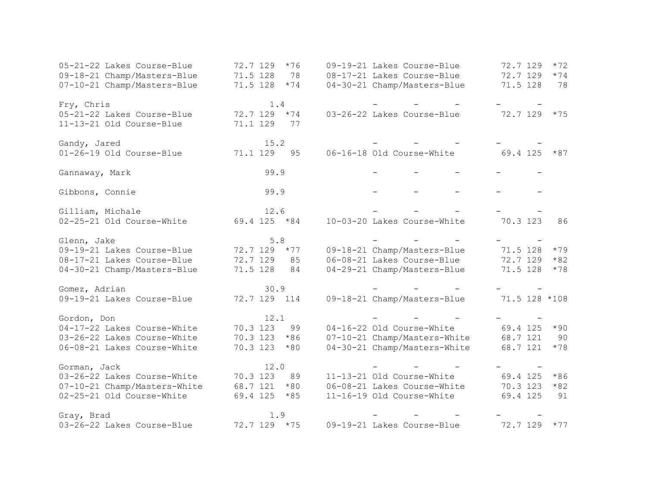| 05-21-22 Lakes Course-Blue   | 72.7 129<br>$*76$ | 09-19-21 Lakes Course-Blue   | 72.7 129<br>$*72$ |
|------------------------------|-------------------|------------------------------|-------------------|
| 09-18-21 Champ/Masters-Blue  | 71.5 128<br>78    | 08-17-21 Lakes Course-Blue   | 72.7 129<br>$*74$ |
| 07-10-21 Champ/Masters-Blue  | 71.5 128<br>$*74$ | 04-30-21 Champ/Masters-Blue  | 71.5 128<br>78    |
| Fry, Chris                   | 1.4               |                              |                   |
| 05-21-22 Lakes Course-Blue   | 72.7 129 *74      | 03-26-22 Lakes Course-Blue   | 72.7 129 *75      |
| 11-13-21 Old Course-Blue     | 71.1 129<br>77    |                              |                   |
| Gandy, Jared                 | 15.2              |                              |                   |
| 01-26-19 Old Course-Blue     | 71.1 129<br>95    | 06-16-18 Old Course-White    | 69.4 125<br>$*87$ |
| Gannaway, Mark               | 99.9              |                              |                   |
| Gibbons, Connie              | 99.9              |                              |                   |
| Gilliam, Michale             | 12.6              |                              |                   |
| 02-25-21 Old Course-White    | 69.4 125 *84      | 10-03-20 Lakes Course-White  | 70.3 123<br>86    |
| Glenn, Jake                  | 5.8               |                              |                   |
| 09-19-21 Lakes Course-Blue   | 72.7 129<br>$*77$ | 09-18-21 Champ/Masters-Blue  | 71.5 128<br>$*79$ |
| 08-17-21 Lakes Course-Blue   | 72.7 129<br>85    | 06-08-21 Lakes Course-Blue   | 72.7 129<br>$*82$ |
| 04-30-21 Champ/Masters-Blue  | 71.5 128<br>84    | 04-29-21 Champ/Masters-Blue  | 71.5 128<br>$*78$ |
| Gomez, Adrian                | 30.9              |                              |                   |
| 09-19-21 Lakes Course-Blue   | 72.7 129 114      | 09-18-21 Champ/Masters-Blue  | 71.5 128 *108     |
| Gordon, Don                  | 12.1              |                              |                   |
| 04-17-22 Lakes Course-White  | 70.3 123<br>99    | 04-16-22 Old Course-White    | 69.4 125<br>$*90$ |
| 03-26-22 Lakes Course-White  | 70.3 123<br>$*86$ | 07-10-21 Champ/Masters-White | 68.7 121<br>90    |
| 06-08-21 Lakes Course-White  | 70.3 123<br>$*80$ | 04-30-21 Champ/Masters-White | 68.7 121<br>$*78$ |
| Gorman, Jack                 | 12.0              |                              |                   |
| 03-26-22 Lakes Course-White  | 70.3 123<br>89    | 11-13-21 Old Course-White    | 69.4 125<br>$*86$ |
| 07-10-21 Champ/Masters-White | 68.7 121<br>$*80$ | 06-08-21 Lakes Course-White  | 70.3 123<br>$*82$ |
| 02-25-21 Old Course-White    | 69.4 125<br>$*85$ | 11-16-19 Old Course-White    | 69.4 125<br>91    |
| Gray, Brad                   | 1.9               |                              |                   |
| 03-26-22 Lakes Course-Blue   | 72.7 129 *75      | 09-19-21 Lakes Course-Blue   | 72.7 129<br>$*77$ |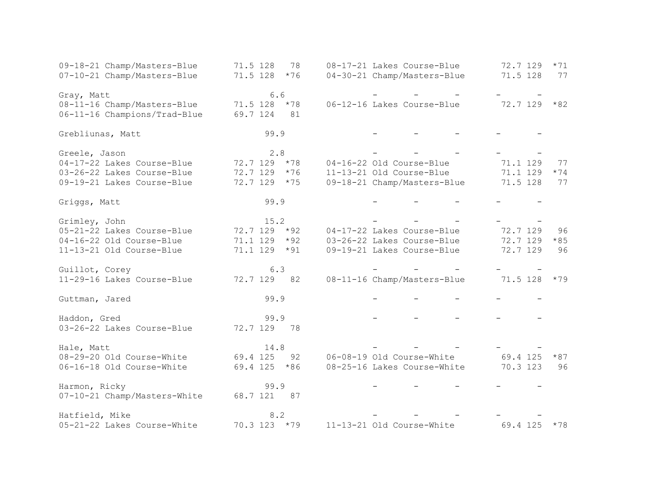| 09-18-21 Champ/Masters-Blue               | 71.5 128<br>78    | 08-17-21 Lakes Course-Blue  | 72.7 129<br>$*71$ |
|-------------------------------------------|-------------------|-----------------------------|-------------------|
| 07-10-21 Champ/Masters-Blue               | 71.5 128<br>$*76$ | 04-30-21 Champ/Masters-Blue | 71.5 128<br>77    |
|                                           | 6.6               |                             |                   |
| Gray, Matt<br>08-11-16 Champ/Masters-Blue | $71.5$ 128 $*78$  | 06-12-16 Lakes Course-Blue  | $72.7$ 129 $*82$  |
|                                           | 81                |                             |                   |
| 06-11-16 Champions/Trad-Blue              | 69.7 124          |                             |                   |
| Grebliunas, Matt                          | 99.9              |                             |                   |
| Greele, Jason                             | 2.8               |                             |                   |
| 04-17-22 Lakes Course-Blue                | 72.7 129 *78      | 04-16-22 Old Course-Blue    | 71.1 129<br>77    |
| 03-26-22 Lakes Course-Blue                | 72.7 129 *76      | 11-13-21 Old Course-Blue    | 71.1 129<br>$*74$ |
| 09-19-21 Lakes Course-Blue                | 72.7 129<br>$*75$ | 09-18-21 Champ/Masters-Blue | 71.5 128<br>77    |
|                                           |                   |                             |                   |
| Griggs, Matt                              | 99.9              |                             |                   |
|                                           |                   |                             |                   |
| Grimley, John                             | 15.2              |                             |                   |
| 05-21-22 Lakes Course-Blue                | 72.7 129<br>$*92$ | 04-17-22 Lakes Course-Blue  | 72.7 129<br>96    |
| 04-16-22 Old Course-Blue                  | $*92$<br>71.1 129 | 03-26-22 Lakes Course-Blue  | 72.7 129<br>$*85$ |
| 11-13-21 Old Course-Blue                  | 71.1 129<br>$*91$ | 09-19-21 Lakes Course-Blue  | 72.7 129<br>96    |
| Guillot, Corey                            | 6.3               |                             |                   |
| 11-29-16 Lakes Course-Blue                | 72.7 129<br>82    | 08-11-16 Champ/Masters-Blue | 71.5 128<br>$*79$ |
|                                           |                   |                             |                   |
| Guttman, Jared                            | 99.9              |                             |                   |
| Haddon, Gred                              | 99.9              |                             |                   |
| 03-26-22 Lakes Course-Blue                | 72.7 129<br>78    |                             |                   |
|                                           |                   |                             |                   |
| Hale, Matt                                | 14.8              |                             |                   |
| 08-29-20 Old Course-White                 | 69.4 125<br>92    | 06-08-19 Old Course-White   | 69.4 125<br>$*87$ |
| 06-16-18 Old Course-White                 | 69.4 125 *86      | 08-25-16 Lakes Course-White | 70.3 123<br>96    |
|                                           |                   |                             |                   |
| Harmon, Ricky                             | 99.9              |                             |                   |
| 07-10-21 Champ/Masters-White              | 68.7 121<br>87    |                             |                   |
| Hatfield, Mike                            | 8.2               |                             |                   |
| 05-21-22 Lakes Course-White               | 70.3 123 *79      | 11-13-21 Old Course-White   | 69.4 125<br>$*78$ |
|                                           |                   |                             |                   |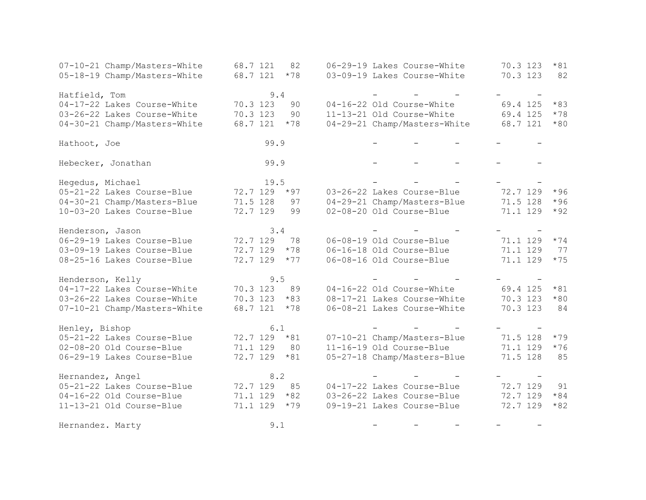| 07-10-21 Champ/Masters-White | 68.7 121<br>82    | 06-29-19 Lakes Course-White  | 70.3 123<br>$*81$ |
|------------------------------|-------------------|------------------------------|-------------------|
| 05-18-19 Champ/Masters-White | 68.7 121<br>$*78$ | 03-09-19 Lakes Course-White  | 70.3 123<br>82    |
|                              |                   |                              |                   |
| Hatfield, Tom                | 9.4               |                              |                   |
| 04-17-22 Lakes Course-White  | 70.3 123<br>90    | 04-16-22 Old Course-White    | 69.4 125<br>$*83$ |
| 03-26-22 Lakes Course-White  | 70.3 123<br>90    | 11-13-21 Old Course-White    | 69.4 125<br>$*78$ |
| 04-30-21 Champ/Masters-White | 68.7 121<br>$*78$ | 04-29-21 Champ/Masters-White | 68.7 121<br>$*80$ |
| Hathoot, Joe                 | 99.9              |                              |                   |
| Hebecker, Jonathan           | 99.9              | $\equiv$                     |                   |
| Hegedus, Michael             | 19.5              |                              |                   |
| 05-21-22 Lakes Course-Blue   | 72.7 129<br>$*97$ | 03-26-22 Lakes Course-Blue   | 72.7 129<br>$*96$ |
| 04-30-21 Champ/Masters-Blue  | 71.5 128<br>97    | 04-29-21 Champ/Masters-Blue  | $*96$<br>71.5 128 |
| 10-03-20 Lakes Course-Blue   | 72.7 129<br>99    | 02-08-20 Old Course-Blue     | 71.1 129<br>$*92$ |
| Henderson, Jason             | 3.4               |                              |                   |
| 06-29-19 Lakes Course-Blue   | 72.7 129<br>78    | 06-08-19 Old Course-Blue     | 71.1 129<br>$*74$ |
| 03-09-19 Lakes Course-Blue   | 72.7 129<br>$*78$ | 06-16-18 Old Course-Blue     | 71.1 129<br>77    |
| 08-25-16 Lakes Course-Blue   | 72.7 129<br>$*77$ | 06-08-16 Old Course-Blue     | $*75$<br>71.1 129 |
| Henderson, Kelly             | 9.5               |                              |                   |
| 04-17-22 Lakes Course-White  | 70.3 123<br>89    | 04-16-22 Old Course-White    | 69.4 125<br>$*81$ |
| 03-26-22 Lakes Course-White  | 70.3 123<br>$*83$ | 08-17-21 Lakes Course-White  | 70.3 123<br>$*80$ |
| 07-10-21 Champ/Masters-White | 68.7 121<br>$*78$ | 06-08-21 Lakes Course-White  | 70.3 123<br>84    |
| Henley, Bishop               | 6.1               |                              |                   |
| 05-21-22 Lakes Course-Blue   | 72.7 129<br>$*81$ | 07-10-21 Champ/Masters-Blue  | 71.5 128<br>$*79$ |
| 02-08-20 Old Course-Blue     | 71.1 129<br>80    | 11-16-19 Old Course-Blue     | 71.1 129<br>$*76$ |
| 06-29-19 Lakes Course-Blue   | 72.7 129<br>$*81$ | 05-27-18 Champ/Masters-Blue  | 71.5 128<br>85    |
| Hernandez, Angel             | 8.2               |                              |                   |
| 05-21-22 Lakes Course-Blue   | 85<br>72.7 129    | 04-17-22 Lakes Course-Blue   | 72.7 129<br>91    |
| 04-16-22 Old Course-Blue     | $*82$<br>71.1 129 | 03-26-22 Lakes Course-Blue   | 72.7 129<br>$*84$ |
| 11-13-21 Old Course-Blue     | $*79$<br>71.1 129 | 09-19-21 Lakes Course-Blue   | 72.7 129<br>$*82$ |
| Hernandez. Marty             | 9.1               |                              |                   |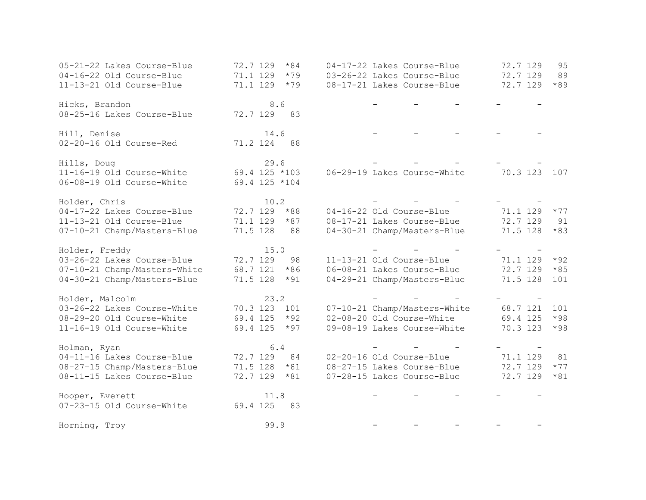| 05-21-22 Lakes Course-Blue<br>04-16-22 Old Course-Blue<br>11-13-21 Old Course-Blue | 72.7 129<br>$*84$<br>71.1 129<br>$*79$<br>71.1 129<br>$*79$ | 04-17-22 Lakes Course-Blue<br>03-26-22 Lakes Course-Blue<br>08-17-21 Lakes Course-Blue | 72.7 129<br>95<br>72.7 129<br>89<br>$*89$<br>72.7 129 |
|------------------------------------------------------------------------------------|-------------------------------------------------------------|----------------------------------------------------------------------------------------|-------------------------------------------------------|
| Hicks, Brandon<br>08-25-16 Lakes Course-Blue                                       | 8.6<br>72.7 129 83                                          |                                                                                        |                                                       |
| Hill, Denise<br>02-20-16 Old Course-Red                                            | 14.6<br>71.2 124 88                                         |                                                                                        |                                                       |
| Hills, Doug<br>11-16-19 Old Course-White                                           | 29.6<br>69.4 125 *103                                       | 06-29-19 Lakes Course-White                                                            | 70.3 123 107                                          |
| 06-08-19 Old Course-White                                                          | 69.4 125 *104                                               |                                                                                        |                                                       |
| Holder, Chris                                                                      | 10.2                                                        |                                                                                        |                                                       |
| 04-17-22 Lakes Course-Blue                                                         | 72.7 129<br>$*88$                                           | 04-16-22 Old Course-Blue                                                               | 71.1 129<br>$*77$                                     |
| 11-13-21 Old Course-Blue                                                           | 71.1 129<br>$*87$                                           | 08-17-21 Lakes Course-Blue                                                             | 72.7 129<br>91                                        |
| 07-10-21 Champ/Masters-Blue                                                        | 71.5 128<br>88                                              | 04-30-21 Champ/Masters-Blue                                                            | 71.5 128<br>$*83$                                     |
| Holder, Freddy                                                                     | 15.0                                                        |                                                                                        |                                                       |
| 03-26-22 Lakes Course-Blue                                                         | 72.7 129<br>98                                              | 11-13-21 Old Course-Blue                                                               | 71.1 129<br>$*92$                                     |
| 07-10-21 Champ/Masters-White                                                       | 68.7 121<br>$*86$                                           | 06-08-21 Lakes Course-Blue                                                             | 72.7 129<br>$*85$                                     |
| 04-30-21 Champ/Masters-Blue                                                        | 71.5 128<br>$*91$                                           | 04-29-21 Champ/Masters-Blue                                                            | 71.5 128<br>101                                       |
| Holder, Malcolm                                                                    | 23.2                                                        |                                                                                        |                                                       |
| 03-26-22 Lakes Course-White                                                        | 70.3 123 101                                                | 07-10-21 Champ/Masters-White                                                           | 68.7 121<br>101                                       |
| 08-29-20 Old Course-White                                                          | 69.4 125<br>$*92$                                           | 02-08-20 Old Course-White                                                              | 69.4 125<br>$*98$                                     |
| 11-16-19 Old Course-White                                                          | 69.4 125<br>$*97$                                           | 09-08-19 Lakes Course-White                                                            | 70.3 123<br>$*98$                                     |
| Holman, Ryan                                                                       | $6.4$                                                       |                                                                                        |                                                       |
| 04-11-16 Lakes Course-Blue                                                         | 72.7 129<br>84                                              | 02-20-16 Old Course-Blue                                                               | 71.1 129<br>81                                        |
| 08-27-15 Champ/Masters-Blue                                                        | $71.5$ 128 $*81$                                            | 08-27-15 Lakes Course-Blue                                                             | 72.7 129<br>$*77$                                     |
| 08-11-15 Lakes Course-Blue                                                         | 72.7 129<br>$*81$                                           | 07-28-15 Lakes Course-Blue                                                             | 72.7 129<br>$*81$                                     |
| Hooper, Everett                                                                    | 11.8                                                        |                                                                                        |                                                       |
| 07-23-15 Old Course-White                                                          | 69.4 125<br>83                                              |                                                                                        |                                                       |
| Horning, Troy                                                                      | 99.9                                                        |                                                                                        |                                                       |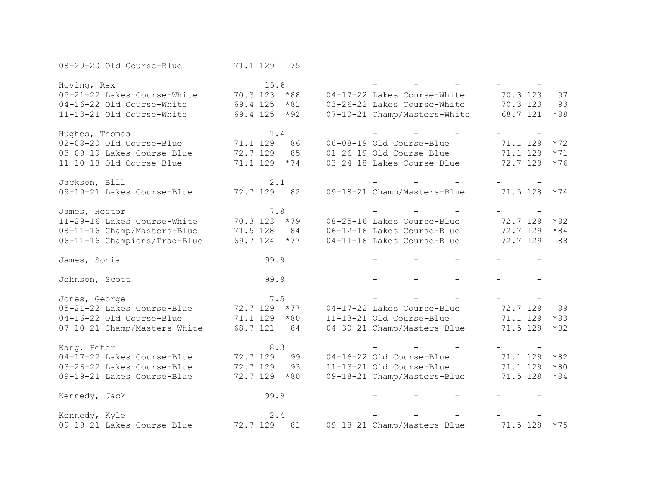| 08-29-20 Old Course-Blue                                 | 71.1 129<br>75    |                              |                   |
|----------------------------------------------------------|-------------------|------------------------------|-------------------|
| Hoving, Rex                                              | 15.6              |                              |                   |
| 05-21-22 Lakes Course-White                              | 70.3 123<br>$*88$ | 04-17-22 Lakes Course-White  | 70.3 123<br>97    |
| 04-16-22 Old Course-White                                | 69.4 125<br>$*81$ | 03-26-22 Lakes Course-White  | 70.3 123<br>93    |
| 11-13-21 Old Course-White                                | $*92$<br>69.4 125 | 07-10-21 Champ/Masters-White | 68.7 121<br>$*88$ |
|                                                          |                   |                              |                   |
| Hughes, Thomas                                           | 1.4               |                              |                   |
| 02-08-20 Old Course-Blue                                 | 71.1 129<br>86    | 06-08-19 Old Course-Blue     | 71.1 129<br>$*72$ |
| 03-09-19 Lakes Course-Blue                               | 72.7 129<br>85    | 01-26-19 Old Course-Blue     | 71.1 129<br>$*71$ |
| 11-10-18 Old Course-Blue                                 | 71.1 129<br>$*74$ | 03-24-18 Lakes Course-Blue   | 72.7 129<br>$*76$ |
| Jackson, Bill                                            | 2.1               |                              |                   |
| 09-19-21 Lakes Course-Blue                               | 72.7 129<br>82    | 09-18-21 Champ/Masters-Blue  | 71.5 128<br>$*74$ |
|                                                          |                   |                              |                   |
| James, Hector                                            | 7.8               |                              |                   |
| 11-29-16 Lakes Course-White                              | 70.3 123<br>$*79$ | 08-25-16 Lakes Course-Blue   | 72.7 129<br>$*82$ |
| 08-11-16 Champ/Masters-Blue                              | 71.5 128<br>84    | 06-12-16 Lakes Course-Blue   | 72.7 129<br>$*84$ |
| 06-11-16 Champions/Trad-Blue                             | 69.7 124<br>$*77$ | 04-11-16 Lakes Course-Blue   | 72.7 129<br>88    |
|                                                          |                   |                              |                   |
| James, Sonia                                             | 99.9              |                              |                   |
| Johnson, Scott                                           | 99.9              |                              |                   |
|                                                          |                   |                              |                   |
|                                                          |                   |                              |                   |
| Jones, George                                            | 7.5               |                              |                   |
| 05-21-22 Lakes Course-Blue                               | 72.7 129<br>$*77$ | 04-17-22 Lakes Course-Blue   | 72.7 129<br>89    |
| 04-16-22 Old Course-Blue                                 | 71.1 129<br>$*80$ | 11-13-21 Old Course-Blue     | 71.1 129<br>$*83$ |
| 07-10-21 Champ/Masters-White                             | 68.7 121<br>84    | 04-30-21 Champ/Masters-Blue  | $*82$<br>71.5 128 |
|                                                          | 8.3               |                              |                   |
| Kang, Peter<br>04-17-22 Lakes Course-Blue                | 72.7 129<br>99    | 04-16-22 Old Course-Blue     | $*82$<br>71.1 129 |
|                                                          | 72.7 129<br>93    | 11-13-21 Old Course-Blue     | $*80$<br>71.1 129 |
| 03-26-22 Lakes Course-Blue<br>09-19-21 Lakes Course-Blue | 72.7 129<br>$*80$ | 09-18-21 Champ/Masters-Blue  | 71.5 128<br>$*84$ |
|                                                          |                   |                              |                   |
| Kennedy, Jack                                            | 99.9              |                              |                   |
|                                                          |                   |                              |                   |
| Kennedy, Kyle                                            | 2.4               |                              |                   |
| 09-19-21 Lakes Course-Blue                               | 72.7 129<br>81    | 09-18-21 Champ/Masters-Blue  | 71.5 128<br>$*75$ |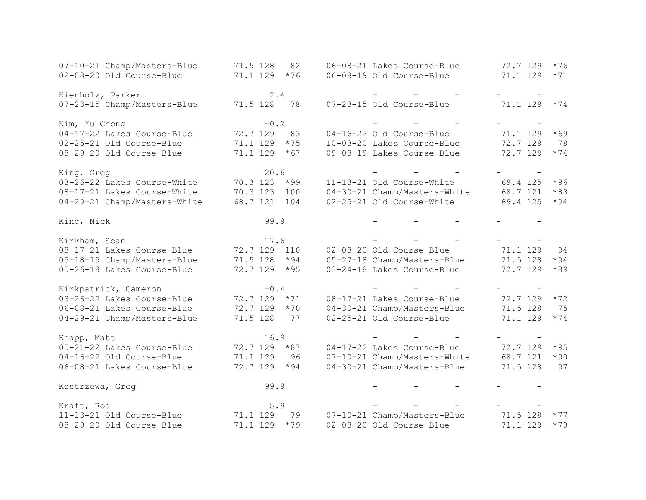| 07-10-21 Champ/Masters-Blue               | 71.5 128<br>82    | 06-08-21 Lakes Course-Blue   | 72.7 129<br>$*76$ |
|-------------------------------------------|-------------------|------------------------------|-------------------|
| 02-08-20 Old Course-Blue                  | 71.1 129<br>$*76$ | 06-08-19 Old Course-Blue     | 71.1 129<br>$*71$ |
|                                           |                   |                              |                   |
| Kienholz, Parker                          | 2.4               |                              |                   |
| 07-23-15 Champ/Masters-Blue               | 71.5 128<br>78    | 07-23-15 Old Course-Blue     | 71.1 129<br>$*74$ |
|                                           |                   |                              |                   |
| Kim, Yu Chong                             | $-0.2$            |                              |                   |
| 04-17-22 Lakes Course-Blue                | 72.7 129<br>83    | 04-16-22 Old Course-Blue     | 71.1 129<br>$*69$ |
| 02-25-21 Old Course-Blue                  | 71.1 129<br>$*75$ | 10-03-20 Lakes Course-Blue   | 72.7 129<br>78    |
| 08-29-20 Old Course-Blue                  | 71.1 129<br>$*67$ | 09-08-19 Lakes Course-Blue   | 72.7 129<br>$*74$ |
|                                           |                   |                              |                   |
| King, Greg                                | 20.6              |                              |                   |
| 03-26-22 Lakes Course-White               | 70.3 123<br>$*99$ | 11-13-21 Old Course-White    | 69.4 125<br>$*96$ |
| 08-17-21 Lakes Course-White               | 70.3 123<br>100   | 04-30-21 Champ/Masters-White | 68.7 121<br>$*83$ |
| 04-29-21 Champ/Masters-White              | 68.7 121<br>104   | 02-25-21 Old Course-White    | 69.4 125<br>$*94$ |
| King, Nick                                | 99.9              |                              |                   |
|                                           |                   |                              |                   |
| Kirkham, Sean                             | 17.6              |                              |                   |
| 08-17-21 Lakes Course-Blue                | 72.7 129<br>110   | 02-08-20 Old Course-Blue     | 71.1 129<br>94    |
| 05-18-19 Champ/Masters-Blue               | 71.5 128<br>$*94$ | 05-27-18 Champ/Masters-Blue  | 71.5 128<br>$*94$ |
| 05-26-18 Lakes Course-Blue                | 72.7 129<br>$*95$ | 03-24-18 Lakes Course-Blue   | 72.7 129<br>$*89$ |
|                                           |                   |                              |                   |
| Kirkpatrick, Cameron                      | $-0.4$            |                              |                   |
| 03-26-22 Lakes Course-Blue                | 72.7 129<br>$*71$ | 08-17-21 Lakes Course-Blue   | 72.7 129<br>$*72$ |
| 06-08-21 Lakes Course-Blue                | 72.7 129<br>$*70$ | 04-30-21 Champ/Masters-Blue  | 71.5 128<br>75    |
| 04-29-21 Champ/Masters-Blue               | 71.5 128<br>77    | 02-25-21 Old Course-Blue     | 71.1 129<br>$*74$ |
|                                           | 16.9              |                              |                   |
| Knapp, Matt<br>05-21-22 Lakes Course-Blue | 72.7 129<br>$*87$ | 04-17-22 Lakes Course-Blue   | 72.7 129<br>$*95$ |
| 04-16-22 Old Course-Blue                  |                   |                              | 68.7 121<br>$*90$ |
|                                           | 71.1 129<br>96    | 07-10-21 Champ/Masters-White |                   |
| 06-08-21 Lakes Course-Blue                | 72.7 129<br>$*94$ | 04-30-21 Champ/Masters-Blue  | 71.5 128<br>97    |
| Kostrzewa, Greg                           | 99.9              |                              |                   |
| Kraft, Rod                                | 5.9               |                              |                   |
| 11-13-21 Old Course-Blue                  | 71.1 129<br>79    | 07-10-21 Champ/Masters-Blue  | 71.5 128<br>$*77$ |
| 08-29-20 Old Course-Blue                  | 71.1 129<br>$*79$ | 02-08-20 Old Course-Blue     | 71.1 129<br>$*79$ |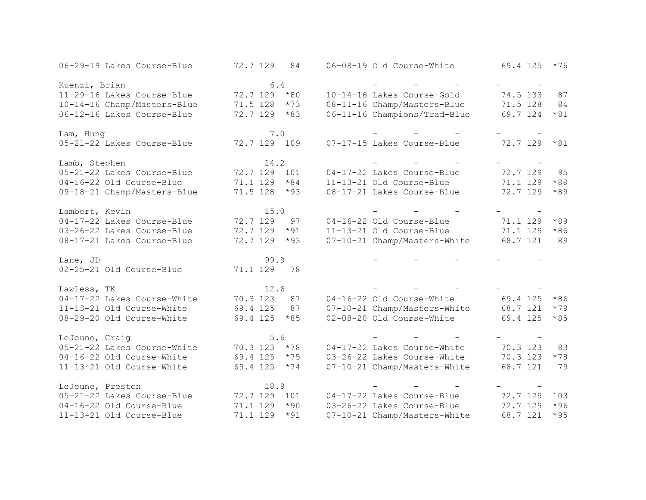| 06-29-19 Lakes Course-Blue  | 72.7 129<br>84    | 06-08-19 Old Course-White    | 69.4 125<br>$*76$ |
|-----------------------------|-------------------|------------------------------|-------------------|
| Kuenzi, Brian               | 6.4               |                              |                   |
| 11-29-16 Lakes Course-Blue  | 72.7 129 *80      | 10-14-16 Lakes Course-Gold   | 74.5 133<br>87    |
| 10-14-16 Champ/Masters-Blue | 71.5 128<br>$*73$ | 08-11-16 Champ/Masters-Blue  | 71.5 128<br>84    |
| 06-12-16 Lakes Course-Blue  | 72.7 129<br>$*83$ | 06-11-16 Champions/Trad-Blue | 69.7 124<br>$*81$ |
| Lam, Hung                   | 7.0               |                              |                   |
| 05-21-22 Lakes Course-Blue  | 72.7 129 109      | 07-17-15 Lakes Course-Blue   | 72.7 129<br>$*81$ |
| Lamb, Stephen               | 14.2              |                              |                   |
| 05-21-22 Lakes Course-Blue  | 72.7 129<br>101   | 04-17-22 Lakes Course-Blue   | 72.7 129<br>95    |
| 04-16-22 Old Course-Blue    | 71.1 129<br>$*84$ | 11-13-21 Old Course-Blue     | 71.1 129<br>$*88$ |
| 09-18-21 Champ/Masters-Blue | 71.5 128<br>$*93$ | 08-17-21 Lakes Course-Blue   | 72.7 129<br>$*89$ |
| Lambert, Kevin              | 15.0              |                              |                   |
| 04-17-22 Lakes Course-Blue  | 72.7 129<br>97    | 04-16-22 Old Course-Blue     | $*89$<br>71.1 129 |
| 03-26-22 Lakes Course-Blue  | 72.7 129<br>$*91$ | 11-13-21 Old Course-Blue     | 71.1 129<br>$*86$ |
| 08-17-21 Lakes Course-Blue  | 72.7 129<br>$*93$ | 07-10-21 Champ/Masters-White | 89<br>68.7 121    |
| Lane, JD                    | 99.9              |                              |                   |
| 02-25-21 Old Course-Blue    | 71.1 129<br>78    |                              |                   |
| Lawless, TK                 | 12.6              |                              |                   |
| 04-17-22 Lakes Course-White | 70.3 123<br>87    | 04-16-22 Old Course-White    | 69.4 125<br>$*86$ |
| 11-13-21 Old Course-White   | 69.4 125<br>87    | 07-10-21 Champ/Masters-White | 68.7 121<br>$*79$ |
| 08-29-20 Old Course-White   | 69.4 125<br>$*85$ | 02-08-20 Old Course-White    | 69.4 125<br>$*85$ |
| LeJeune, Craig              | 5.6               |                              |                   |
| 05-21-22 Lakes Course-White | 70.3 123 *78      | 04-17-22 Lakes Course-White  | 70.3 123<br>83    |
| 04-16-22 Old Course-White   | 69.4 125<br>$*75$ | 03-26-22 Lakes Course-White  | 70.3 123<br>$*78$ |
| 11-13-21 Old Course-White   | 69.4 125<br>$*74$ | 07-10-21 Champ/Masters-White | 68.7 121<br>79    |
| LeJeune, Preston            | 18.9              |                              |                   |
| 05-21-22 Lakes Course-Blue  | 72.7 129<br>101   | 04-17-22 Lakes Course-Blue   | 72.7 129<br>103   |
| 04-16-22 Old Course-Blue    | 71.1 129<br>$*90$ | 03-26-22 Lakes Course-Blue   | 72.7 129<br>$*96$ |
| 11-13-21 Old Course-Blue    | 71.1 129<br>$*91$ | 07-10-21 Champ/Masters-White | 68.7 121<br>$*95$ |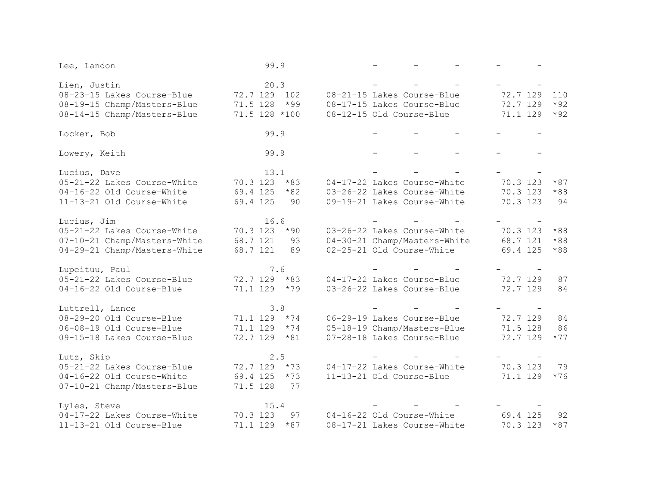| Lee, Landon                  | 99.9              |                              |                   |
|------------------------------|-------------------|------------------------------|-------------------|
| Lien, Justin                 | 20.3              |                              |                   |
| 08-23-15 Lakes Course-Blue   | 72.7 129 102      | 08-21-15 Lakes Course-Blue   | 72.7 129<br>110   |
| 08-19-15 Champ/Masters-Blue  | 71.5 128<br>$*99$ | 08-17-15 Lakes Course-Blue   | 72.7 129<br>$*92$ |
| 08-14-15 Champ/Masters-Blue  | 71.5 128 *100     | 08-12-15 Old Course-Blue     | 71.1 129<br>$*92$ |
| Locker, Bob                  | 99.9              |                              |                   |
| Lowery, Keith                | 99.9              |                              |                   |
| Lucius, Dave                 | 13.1              |                              |                   |
| 05-21-22 Lakes Course-White  | 70.3 123<br>$*83$ | 04-17-22 Lakes Course-White  | 70.3 123<br>$*87$ |
| 04-16-22 Old Course-White    | 69.4 125<br>$*82$ | 03-26-22 Lakes Course-White  | 70.3 123<br>$*88$ |
| 11-13-21 Old Course-White    | 69.4 125<br>90    | 09-19-21 Lakes Course-White  | 70.3 123<br>94    |
| Lucius, Jim                  | 16.6              |                              |                   |
| 05-21-22 Lakes Course-White  | 70.3 123<br>$*90$ | 03-26-22 Lakes Course-White  | 70.3 123<br>$*88$ |
| 07-10-21 Champ/Masters-White | 68.7 121<br>93    | 04-30-21 Champ/Masters-White | 68.7 121<br>$*88$ |
| 04-29-21 Champ/Masters-White | 68.7 121<br>89    | 02-25-21 Old Course-White    | 69.4 125<br>$*88$ |
| Lupeituu, Paul               | 7.6               |                              |                   |
| 05-21-22 Lakes Course-Blue   | 72.7 129 *83      | 04-17-22 Lakes Course-Blue   | 72.7 129<br>87    |
| 04-16-22 Old Course-Blue     | $71.1$ 129 $*79$  | 03-26-22 Lakes Course-Blue   | 72.7 129<br>84    |
| Luttrell, Lance              | 3.8               |                              |                   |
| 08-29-20 Old Course-Blue     | $71.1$ 129 $*74$  | 06-29-19 Lakes Course-Blue   | 72.7 129<br>84    |
| 06-08-19 Old Course-Blue     | 71.1 129<br>$*74$ | 05-18-19 Champ/Masters-Blue  | 71.5 128<br>86    |
| 09-15-18 Lakes Course-Blue   | 72.7 129<br>$*81$ | 07-28-18 Lakes Course-Blue   | 72.7 129<br>$*77$ |
| Lutz, Skip                   | 2.5               |                              |                   |
| 05-21-22 Lakes Course-Blue   | $72.7$ 129 $*73$  | 04-17-22 Lakes Course-White  | 70.3 123<br>79    |
| 04-16-22 Old Course-White    | 69.4 125<br>$*73$ | 11-13-21 Old Course-Blue     | 71.1 129<br>$*76$ |
| 07-10-21 Champ/Masters-Blue  | 71.5 128<br>77    |                              |                   |
| Lyles, Steve                 | 15.4              |                              |                   |
| 04-17-22 Lakes Course-White  | 70.3 123<br>97    | 04-16-22 Old Course-White    | 69.4 125<br>92    |
| 11-13-21 Old Course-Blue     | $*87$<br>71.1 129 | 08-17-21 Lakes Course-White  | 70.3 123<br>$*87$ |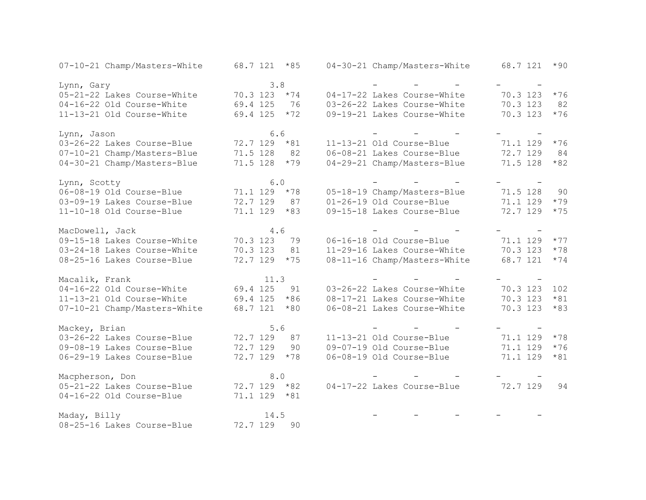| 07-10-21 Champ/Masters-White | 68.7 121 *85     |       | 04-30-21 Champ/Masters-White | 68.7 121 | $*90$ |
|------------------------------|------------------|-------|------------------------------|----------|-------|
| Lynn, Gary                   | 3.8              |       |                              |          |       |
| 05-21-22 Lakes Course-White  | 70.3 123 *74     |       | 04-17-22 Lakes Course-White  | 70.3 123 | $*76$ |
| 04-16-22 Old Course-White    | 69.4 125         | 76    | 03-26-22 Lakes Course-White  | 70.3 123 | 82    |
| 11-13-21 Old Course-White    | 69.4 125         | $*72$ | 09-19-21 Lakes Course-White  | 70.3 123 | $*76$ |
| Lynn, Jason                  | 6.6              |       |                              |          |       |
| 03-26-22 Lakes Course-Blue   | 72.7 129 *81     |       | 11-13-21 Old Course-Blue     | 71.1 129 | $*76$ |
| 07-10-21 Champ/Masters-Blue  | 71.5 128         | 82    | 06-08-21 Lakes Course-Blue   | 72.7 129 | 84    |
| 04-30-21 Champ/Masters-Blue  | 71.5 128         | $*79$ | 04-29-21 Champ/Masters-Blue  | 71.5 128 | $*82$ |
| Lynn, Scotty                 | 6.0              |       |                              |          |       |
| 06-08-19 Old Course-Blue     | 71.1 129 *78     |       | 05-18-19 Champ/Masters-Blue  | 71.5 128 | 90    |
| 03-09-19 Lakes Course-Blue   | 72.7 129         | 87    | 01-26-19 Old Course-Blue     | 71.1 129 | $*79$ |
| 11-10-18 Old Course-Blue     | 71.1 129         | $*83$ | 09-15-18 Lakes Course-Blue   | 72.7 129 | $*75$ |
| MacDowell, Jack              | 4.6              |       |                              |          |       |
| 09-15-18 Lakes Course-White  | 70.3 123         | 79    | 06-16-18 Old Course-Blue     | 71.1 129 | $*77$ |
| 03-24-18 Lakes Course-White  | 70.3 123         | 81    | 11-29-16 Lakes Course-White  | 70.3 123 | $*78$ |
| 08-25-16 Lakes Course-Blue   | 72.7 129         | $*75$ | 08-11-16 Champ/Masters-White | 68.7 121 | $*74$ |
| Macalik, Frank               | 11.3             |       |                              |          |       |
| 04-16-22 Old Course-White    | 69.4 125         | 91    | 03-26-22 Lakes Course-White  | 70.3 123 | 102   |
| 11-13-21 Old Course-White    | 69.4 125         | $*86$ | 08-17-21 Lakes Course-White  | 70.3 123 | $*81$ |
| 07-10-21 Champ/Masters-White | 68.7 121         | $*80$ | 06-08-21 Lakes Course-White  | 70.3 123 | $*83$ |
| Mackey, Brian                | 5.6              |       |                              |          |       |
| 03-26-22 Lakes Course-Blue   | 72.7 129         | 87    | 11-13-21 Old Course-Blue     | 71.1 129 | $*78$ |
| 09-08-19 Lakes Course-Blue   | 72.7 129         | 90    | 09-07-19 Old Course-Blue     | 71.1 129 | $*76$ |
| 06-29-19 Lakes Course-Blue   | 72.7 129         | $*78$ | 06-08-19 Old Course-Blue     | 71.1 129 | $*81$ |
| Macpherson, Don              | 8.0              |       |                              |          |       |
| 05-21-22 Lakes Course-Blue   | $72.7$ 129 $*82$ |       | 04-17-22 Lakes Course-Blue   | 72.7 129 | 94    |
| 04-16-22 Old Course-Blue     | 71.1 129 *81     |       |                              |          |       |
| Maday, Billy                 | 14.5             |       |                              |          |       |
| 08-25-16 Lakes Course-Blue   | 72.7 129         | 90    |                              |          |       |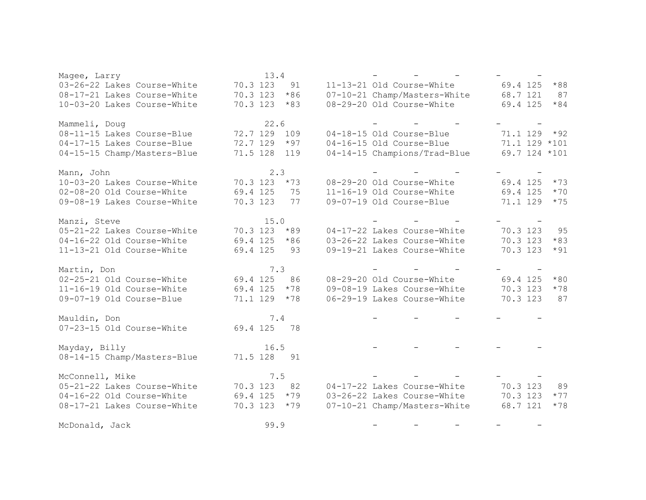| Magee, Larry                |                  | 13.4 |       |  |                              |               |       |
|-----------------------------|------------------|------|-------|--|------------------------------|---------------|-------|
| 03-26-22 Lakes Course-White | 70.3 123         |      | 91    |  | 11-13-21 Old Course-White    | 69.4 125      | $*88$ |
| 08-17-21 Lakes Course-White | 70.3 123         |      | $*86$ |  | 07-10-21 Champ/Masters-White | 68.7 121      | 87    |
| 10-03-20 Lakes Course-White | 70.3 123         |      | $*83$ |  | 08-29-20 Old Course-White    | 69.4 125      | $*84$ |
|                             |                  |      |       |  |                              |               |       |
| Mammeli, Doug               |                  | 22.6 |       |  |                              |               |       |
| 08-11-15 Lakes Course-Blue  | 72.7 129 109     |      |       |  | 04-18-15 Old Course-Blue     | 71.1 129 *92  |       |
| 04-17-15 Lakes Course-Blue  | 72.7 129         |      | $*97$ |  | 04-16-15 Old Course-Blue     | 71.1 129 *101 |       |
| 04-15-15 Champ/Masters-Blue | 71.5 128 119     |      |       |  | 04-14-15 Champions/Trad-Blue | 69.7 124 *101 |       |
|                             |                  |      |       |  |                              |               |       |
| Mann, John                  |                  | 2.3  |       |  |                              |               |       |
| 10-03-20 Lakes Course-White | 70.3 123         |      | $*73$ |  | 08-29-20 Old Course-White    | 69.4 125      | $*73$ |
| 02-08-20 Old Course-White   | 69.4 125         |      | 75    |  | 11-16-19 Old Course-White    | 69.4 125      | $*70$ |
| 09-08-19 Lakes Course-White | 70.3 123         |      | 77    |  | 09-07-19 Old Course-Blue     | 71.1 129      | $*75$ |
| Manzi, Steve                |                  | 15.0 |       |  |                              |               |       |
| 05-21-22 Lakes Course-White | $70.3$ 123 $*89$ |      |       |  | 04-17-22 Lakes Course-White  | 70.3 123      | 95    |
| 04-16-22 Old Course-White   | $69.4$ 125 $*86$ |      |       |  | 03-26-22 Lakes Course-White  | 70.3 123      | $*83$ |
| 11-13-21 Old Course-White   | 69.4 125         |      | 93    |  | 09-19-21 Lakes Course-White  | 70.3 123      | $*91$ |
|                             |                  |      |       |  |                              |               |       |
| Martin, Don                 |                  | 7.3  |       |  |                              |               |       |
| 02-25-21 Old Course-White   | 69.4 125         |      | 86    |  | 08-29-20 Old Course-White    | 69.4 125      | $*80$ |
| 11-16-19 Old Course-White   | 69.4 125         |      | $*78$ |  | 09-08-19 Lakes Course-White  | 70.3 123      | $*78$ |
| 09-07-19 Old Course-Blue    | $71.1$ 129 $*78$ |      |       |  | 06-29-19 Lakes Course-White  | 70.3 123      | 87    |
|                             |                  |      |       |  |                              |               |       |
| Mauldin, Don                |                  | 7.4  |       |  |                              |               |       |
| 07-23-15 Old Course-White   | 69.4 125         |      | 78    |  |                              |               |       |
| Mayday, Billy               |                  | 16.5 |       |  |                              |               |       |
| 08-14-15 Champ/Masters-Blue | 71.5 128 91      |      |       |  |                              |               |       |
|                             |                  |      |       |  |                              |               |       |
| McConnell, Mike             |                  | 7.5  |       |  |                              |               |       |
| 05-21-22 Lakes Course-White | 70.3 123         |      | 82    |  | 04-17-22 Lakes Course-White  | 70.3 123      | 89    |
| 04-16-22 Old Course-White   | 69.4 125         |      | $*79$ |  | 03-26-22 Lakes Course-White  | 70.3 123      | $*77$ |
| 08-17-21 Lakes Course-White | $70.3$ 123 $*79$ |      |       |  | 07-10-21 Champ/Masters-White | 68.7 121      | $*78$ |
|                             |                  |      |       |  |                              |               |       |
| McDonald, Jack              |                  | 99.9 |       |  |                              |               |       |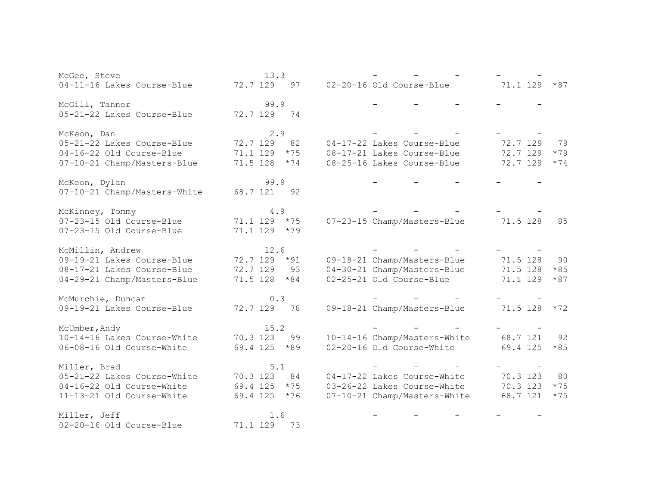| McGee, Steve                 | 13.3              |                              |                   |
|------------------------------|-------------------|------------------------------|-------------------|
| 04-11-16 Lakes Course-Blue   | 72.7 129<br>97    | 02-20-16 Old Course-Blue     | 71.1 129<br>$*87$ |
|                              |                   |                              |                   |
| McGill, Tanner               | 99.9              |                              |                   |
| 05-21-22 Lakes Course-Blue   | 72.7 129 74       |                              |                   |
|                              |                   |                              |                   |
| McKeon, Dan                  | 2.9               |                              |                   |
| 05-21-22 Lakes Course-Blue   | 72.7 129<br>82    | 04-17-22 Lakes Course-Blue   | 72.7 129<br>79    |
| 04-16-22 Old Course-Blue     | $*75$<br>71.1 129 | 08-17-21 Lakes Course-Blue   | 72.7 129<br>$*79$ |
| 07-10-21 Champ/Masters-Blue  | 71.5 128<br>$*74$ | 08-25-16 Lakes Course-Blue   | 72.7 129<br>$*74$ |
|                              |                   |                              |                   |
| McKeon, Dylan                | 99.9              |                              |                   |
| 07-10-21 Champ/Masters-White | 68.7 121<br>92    |                              |                   |
|                              |                   |                              |                   |
| McKinney, Tommy              | 4.9               |                              |                   |
| 07-23-15 Old Course-Blue     | 71.1 129 *75      | 07-23-15 Champ/Masters-Blue  | 71.5 128<br>85    |
| 07-23-15 Old Course-Blue     | 71.1 129 *79      |                              |                   |
|                              |                   |                              |                   |
| McMillin, Andrew             | 12.6              |                              |                   |
| 09-19-21 Lakes Course-Blue   | 72.7 129 *91      | 09-18-21 Champ/Masters-Blue  | 71.5 128<br>90    |
| 08-17-21 Lakes Course-Blue   | 72.7 129<br>93    | 04-30-21 Champ/Masters-Blue  | 71.5 128<br>$*85$ |
| 04-29-21 Champ/Masters-Blue  | 71.5 128 *84      | 02-25-21 Old Course-Blue     | 71.1 129<br>$*87$ |
|                              |                   |                              |                   |
| McMurchie, Duncan            | 0.3               |                              |                   |
| 09-19-21 Lakes Course-Blue   | 72.7 129<br>78    | 09-18-21 Champ/Masters-Blue  | 71.5 128<br>$*72$ |
|                              |                   |                              |                   |
| McUmber, Andy                | 15.2              |                              |                   |
| 10-14-16 Lakes Course-White  | 70.3 123<br>99    | 10-14-16 Champ/Masters-White | 68.7 121<br>92    |
| 06-08-16 Old Course-White    | 69.4 125 *89      | 02-20-16 Old Course-White    | 69.4 125<br>$*85$ |
|                              |                   |                              |                   |
| Miller, Brad                 | 5.1               |                              |                   |
| 05-21-22 Lakes Course-White  | 70.3 123<br>84    | 04-17-22 Lakes Course-White  | 70.3 123<br>80    |
| 04-16-22 Old Course-White    | 69.4 125<br>$*75$ | 03-26-22 Lakes Course-White  | 70.3 123<br>$*75$ |
| 11-13-21 Old Course-White    | 69.4 125<br>$*76$ | 07-10-21 Champ/Masters-White | 68.7 121<br>$*75$ |
|                              |                   |                              |                   |
| Miller, Jeff                 | 1.6               |                              |                   |
| 02-20-16 Old Course-Blue     | 71.1 129<br>73    |                              |                   |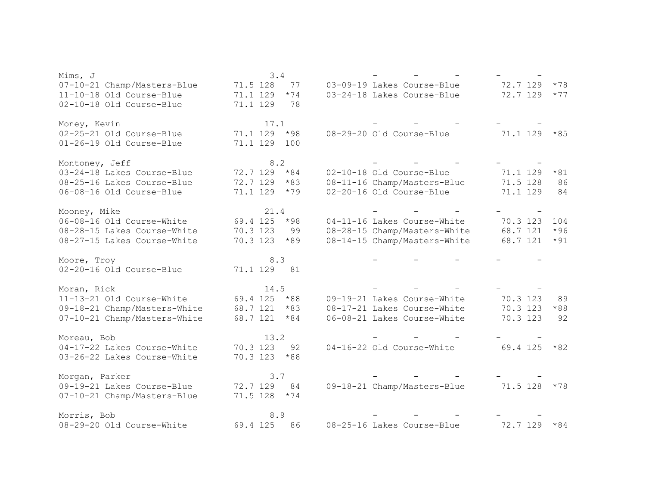| Mims, J                      | 3.4               |                              |                   |
|------------------------------|-------------------|------------------------------|-------------------|
| 07-10-21 Champ/Masters-Blue  | 71.5 128<br>77    | 03-09-19 Lakes Course-Blue   | 72.7 129<br>$*78$ |
| 11-10-18 Old Course-Blue     | 71.1 129<br>$*74$ | 03-24-18 Lakes Course-Blue   | 72.7 129<br>$*77$ |
| 02-10-18 Old Course-Blue     | 71.1 129<br>78    |                              |                   |
| Money, Kevin                 | 17.1              |                              |                   |
| 02-25-21 Old Course-Blue     | 71.1 129<br>$*98$ | 08-29-20 Old Course-Blue     | 71.1 129<br>$*85$ |
| 01-26-19 Old Course-Blue     | 71.1 129<br>100   |                              |                   |
| Montoney, Jeff               | 8.2               |                              |                   |
| 03-24-18 Lakes Course-Blue   | 72.7 129<br>$*84$ | 02-10-18 Old Course-Blue     | $*81$<br>71.1 129 |
| 08-25-16 Lakes Course-Blue   | 72.7 129<br>$*83$ | 08-11-16 Champ/Masters-Blue  | 71.5 128<br>86    |
| 06-08-16 Old Course-Blue     | 71.1 129<br>$*79$ | 02-20-16 Old Course-Blue     | 71.1 129<br>84    |
| Mooney, Mike                 | 21.4              |                              |                   |
| 06-08-16 Old Course-White    | 69.4 125<br>$*98$ | 04-11-16 Lakes Course-White  | 70.3 123<br>104   |
| 08-28-15 Lakes Course-White  | 70.3 123<br>99    | 08-28-15 Champ/Masters-White | $*96$<br>68.7 121 |
| 08-27-15 Lakes Course-White  | 70.3 123<br>$*89$ | 08-14-15 Champ/Masters-White | 68.7 121<br>$*91$ |
| Moore, Troy                  | 8.3               |                              |                   |
| 02-20-16 Old Course-Blue     | 71.1 129<br>81    |                              |                   |
| Moran, Rick                  | 14.5              |                              |                   |
| 11-13-21 Old Course-White    | 69.4 125<br>$*88$ | 09-19-21 Lakes Course-White  | 70.3 123<br>89    |
| 09-18-21 Champ/Masters-White | 68.7 121<br>$*83$ | 08-17-21 Lakes Course-White  | 70.3 123<br>$*88$ |
| 07-10-21 Champ/Masters-White | 68.7 121<br>$*84$ | 06-08-21 Lakes Course-White  | 70.3 123<br>92    |
| Moreau, Bob                  | 13.2              |                              |                   |
| 04-17-22 Lakes Course-White  | 70.3 123<br>92    | 04-16-22 Old Course-White    | 69.4 125<br>$*82$ |
| 03-26-22 Lakes Course-White  | 70.3 123<br>$*88$ |                              |                   |
| Morgan, Parker               | 3.7               |                              |                   |
| 09-19-21 Lakes Course-Blue   | 72.7 129<br>84    | 09-18-21 Champ/Masters-Blue  | 71.5 128<br>$*78$ |
| 07-10-21 Champ/Masters-Blue  | 71.5 128<br>$*74$ |                              |                   |
| Morris, Bob                  | 8.9               |                              |                   |
| 08-29-20 Old Course-White    | 69.4 125<br>86    | 08-25-16 Lakes Course-Blue   | 72.7 129<br>$*84$ |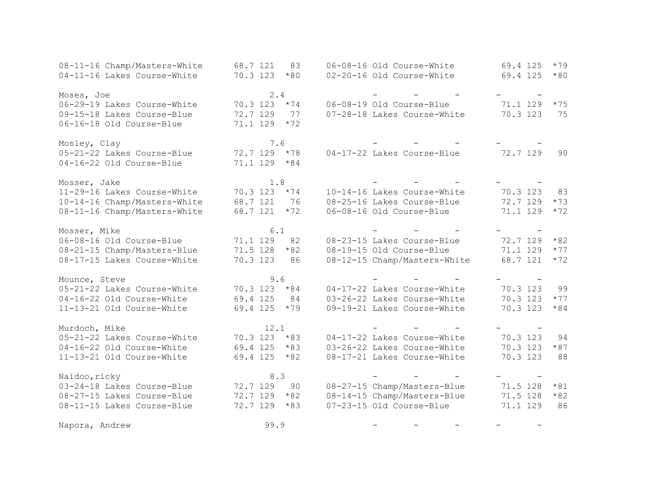| 08-11-16 Champ/Masters-White | 68.7 121<br>83    | 06-08-16 Old Course-White    | 69.4 125<br>$*79$ |
|------------------------------|-------------------|------------------------------|-------------------|
| 04-11-16 Lakes Course-White  | 70.3 123<br>$*80$ | 02-20-16 Old Course-White    | 69.4 125<br>$*80$ |
|                              |                   |                              |                   |
| Moses, Joe                   | 2.4               |                              |                   |
| 06-29-19 Lakes Course-White  | 70.3 123 *74      | 06-08-19 Old Course-Blue     | 71.1 129<br>$*75$ |
| 09-15-18 Lakes Course-Blue   | 72.7 129<br>77    | 07-28-18 Lakes Course-White  | 70.3 123<br>75    |
| 06-16-18 Old Course-Blue     | 71.1 129<br>$*72$ |                              |                   |
| Mosley, Clay                 | 7.6               |                              |                   |
| 05-21-22 Lakes Course-Blue   | 72.7 129 *78      | 04-17-22 Lakes Course-Blue   | 72.7 129<br>90    |
| 04-16-22 Old Course-Blue     | $71.1$ 129 $*84$  |                              |                   |
| Mosser, Jake                 | 1.8               |                              |                   |
| 11-29-16 Lakes Course-White  | 70.3 123<br>$*74$ | 10-14-16 Lakes Course-White  | 70.3 123<br>83    |
| 10-14-16 Champ/Masters-White | 68.7 121<br>76    | 08-25-16 Lakes Course-Blue   | 72.7 129<br>$*73$ |
| 08-11-16 Champ/Masters-White | $*72$<br>68.7 121 | 06-08-16 Old Course-Blue     | $*72$<br>71.1 129 |
| Mosser, Mike                 | 6.1               |                              |                   |
| 06-08-16 Old Course-Blue     | 71.1 129<br>82    | 08-23-15 Lakes Course-Blue   | 72.7 129<br>$*82$ |
| 08-21-15 Champ/Masters-Blue  | $*82$<br>71.5 128 | 08-19-15 Old Course-Blue     | 71.1 129<br>$*77$ |
| 08-17-15 Lakes Course-White  | 70.3 123<br>86    | 08-12-15 Champ/Masters-White | 68.7 121<br>$*72$ |
| Mounce, Steve                | 9.6               |                              |                   |
| 05-21-22 Lakes Course-White  | 70.3 123<br>$*84$ | 04-17-22 Lakes Course-White  | 70.3 123<br>99    |
| 04-16-22 Old Course-White    | 69.4 125<br>84    | 03-26-22 Lakes Course-White  | 70.3 123<br>$*77$ |
| 11-13-21 Old Course-White    | 69.4 125<br>$*79$ | 09-19-21 Lakes Course-White  | 70.3 123<br>$*84$ |
| Murdoch, Mike                | 12.1              |                              |                   |
| 05-21-22 Lakes Course-White  | 70.3 123 *83      | 04-17-22 Lakes Course-White  | 70.3 123<br>94    |
| 04-16-22 Old Course-White    | 69.4 125<br>$*83$ | 03-26-22 Lakes Course-White  | 70.3 123<br>$*87$ |
| 11-13-21 Old Course-White    | 69.4 125<br>$*82$ | 08-17-21 Lakes Course-White  | 70.3 123<br>88    |
| Naidoo, ricky                | 8.3               |                              |                   |
| 03-24-18 Lakes Course-Blue   | 72.7 129<br>90    | 08-27-15 Champ/Masters-Blue  | 71.5 128<br>$*81$ |
| 08-27-15 Lakes Course-Blue   | 72.7 129<br>$*82$ | 08-14-15 Champ/Masters-Blue  | 71.5 128<br>$*82$ |
| 08-11-15 Lakes Course-Blue   | 72.7 129<br>$*83$ | 07-23-15 Old Course-Blue     | 71.1 129<br>86    |
| Napora, Andrew               | 99.9              |                              |                   |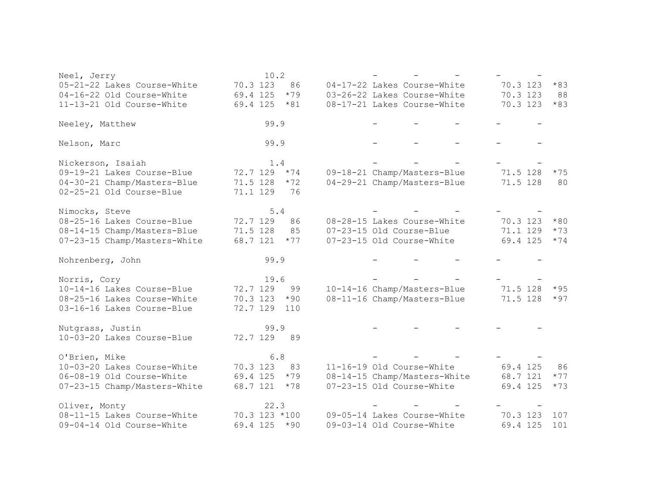| Neel, Jerry                  | 10.2              |                              |                   |
|------------------------------|-------------------|------------------------------|-------------------|
| 05-21-22 Lakes Course-White  | 70.3 123<br>86    | 04-17-22 Lakes Course-White  | 70.3 123<br>$*83$ |
| 04-16-22 Old Course-White    | 69.4 125<br>$*79$ | 03-26-22 Lakes Course-White  | 70.3 123<br>88    |
| 11-13-21 Old Course-White    | 69.4 125<br>$*81$ | 08-17-21 Lakes Course-White  | 70.3 123<br>$*83$ |
| Neeley, Matthew              | 99.9              |                              |                   |
| Nelson, Marc                 | 99.9              |                              |                   |
| Nickerson, Isaiah            | 1.4               |                              |                   |
| 09-19-21 Lakes Course-Blue   | 72.7 129<br>$*74$ | 09-18-21 Champ/Masters-Blue  | 71.5 128<br>$*75$ |
| 04-30-21 Champ/Masters-Blue  | 71.5 128<br>$*72$ | 04-29-21 Champ/Masters-Blue  | 71.5 128<br>80    |
| 02-25-21 Old Course-Blue     | 71.1 129<br>76    |                              |                   |
| Nimocks, Steve               | 5.4               |                              |                   |
| 08-25-16 Lakes Course-Blue   | 72.7 129<br>86    | 08-28-15 Lakes Course-White  | $*80$<br>70.3 123 |
| 08-14-15 Champ/Masters-Blue  | 71.5 128<br>85    | 07-23-15 Old Course-Blue     | 71.1 129<br>$*73$ |
| 07-23-15 Champ/Masters-White | 68.7 121<br>$*77$ | 07-23-15 Old Course-White    | 69.4 125<br>$*74$ |
| Nohrenberg, John             | 99.9              |                              |                   |
| Norris, Cory                 | 19.6              |                              |                   |
| 10-14-16 Lakes Course-Blue   | 72.7 129<br>99    | 10-14-16 Champ/Masters-Blue  | $*95$<br>71.5 128 |
| 08-25-16 Lakes Course-White  | 70.3 123<br>$*90$ | 08-11-16 Champ/Masters-Blue  | 71.5 128<br>$*97$ |
| 03-16-16 Lakes Course-Blue   | 72.7 129<br>110   |                              |                   |
| Nutgrass, Justin             | 99.9              |                              |                   |
| 10-03-20 Lakes Course-Blue   | 72.7 129<br>89    |                              |                   |
| O'Brien, Mike                | $6.8$             |                              |                   |
| 10-03-20 Lakes Course-White  | 70.3 123<br>83    | 11-16-19 Old Course-White    | 69.4 125<br>86    |
| 06-08-19 Old Course-White    | 69.4 125<br>$*79$ | 08-14-15 Champ/Masters-White | 68.7 121<br>$*77$ |
| 07-23-15 Champ/Masters-White | 68.7 121<br>$*78$ | 07-23-15 Old Course-White    | 69.4 125<br>$*73$ |
| Oliver, Monty                | 22.3              |                              |                   |
| 08-11-15 Lakes Course-White  | 70.3 123 *100     | 09-05-14 Lakes Course-White  | 70.3 123<br>107   |
|                              |                   |                              |                   |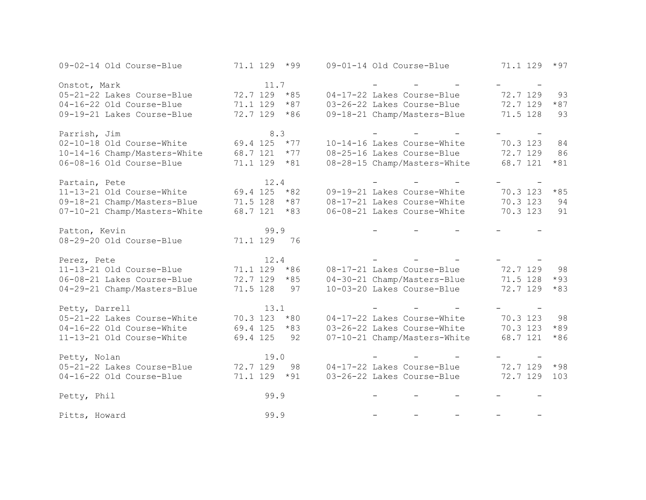| 09-02-14 Old Course-Blue     | 71.1 129<br>$*99$ | 09-01-14 Old Course-Blue     | 71.1 129<br>$*97$ |
|------------------------------|-------------------|------------------------------|-------------------|
| Onstot, Mark                 | 11.7              |                              |                   |
| 05-21-22 Lakes Course-Blue   | 72.7 129 *85      | 04-17-22 Lakes Course-Blue   | 72.7 129<br>93    |
| 04-16-22 Old Course-Blue     | 71.1 129<br>$*87$ | 03-26-22 Lakes Course-Blue   | 72.7 129<br>$*87$ |
| 09-19-21 Lakes Course-Blue   | 72.7 129<br>$*86$ | 09-18-21 Champ/Masters-Blue  | 71.5 128<br>93    |
| Parrish, Jim                 | 8.3               |                              |                   |
| 02-10-18 Old Course-White    | $69.4$ 125 $*77$  | 10-14-16 Lakes Course-White  | 70.3 123<br>84    |
| 10-14-16 Champ/Masters-White | 68.7 121<br>$*77$ | 08-25-16 Lakes Course-Blue   | 86<br>72.7 129    |
| 06-08-16 Old Course-Blue     | $71.1$ 129 $*81$  | 08-28-15 Champ/Masters-White | 68.7 121<br>$*81$ |
| Partain, Pete                | 12.4              |                              |                   |
| 11-13-21 Old Course-White    | 69.4 125<br>$*82$ | 09-19-21 Lakes Course-White  | 70.3 123<br>$*85$ |
| 09-18-21 Champ/Masters-Blue  | 71.5 128<br>$*87$ | 08-17-21 Lakes Course-White  | 70.3 123<br>94    |
| 07-10-21 Champ/Masters-White | 68.7 121<br>$*83$ | 06-08-21 Lakes Course-White  | 70.3 123<br>91    |
| Patton, Kevin                | 99.9              |                              |                   |
| 08-29-20 Old Course-Blue     | 71.1 129<br>76    |                              |                   |
| Perez, Pete                  | 12.4              |                              |                   |
| 11-13-21 Old Course-Blue     | 71.1 129<br>$*86$ | 08-17-21 Lakes Course-Blue   | 72.7 129<br>98    |
| 06-08-21 Lakes Course-Blue   | 72.7 129<br>$*85$ | 04-30-21 Champ/Masters-Blue  | 71.5 128<br>$*93$ |
| 04-29-21 Champ/Masters-Blue  | 71.5 128<br>97    | 10-03-20 Lakes Course-Blue   | 72.7 129<br>$*83$ |
| Petty, Darrell               | 13.1              |                              |                   |
| 05-21-22 Lakes Course-White  | 70.3 123 *80      | 04-17-22 Lakes Course-White  | 70.3 123<br>98    |
| 04-16-22 Old Course-White    | 69.4 125 *83      | 03-26-22 Lakes Course-White  | 70.3 123<br>$*89$ |
| 11-13-21 Old Course-White    | 69.4 125<br>92    | 07-10-21 Champ/Masters-White | 68.7 121<br>$*86$ |
| Petty, Nolan                 | 19.0              |                              |                   |
| 05-21-22 Lakes Course-Blue   | 72.7 129<br>98    | 04-17-22 Lakes Course-Blue   | 72.7 129<br>$*98$ |
| 04-16-22 Old Course-Blue     | 71.1 129<br>$*91$ | 03-26-22 Lakes Course-Blue   | 72.7 129<br>103   |
| Petty, Phil                  | 99.9              |                              |                   |
| Pitts, Howard                | 99.9              |                              |                   |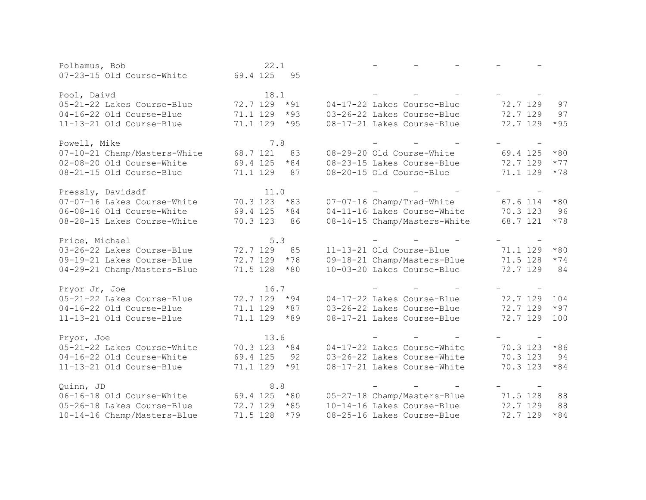| Polhamus, Bob                | 22.1              |                              |                   |
|------------------------------|-------------------|------------------------------|-------------------|
| 07-23-15 Old Course-White    | 69.4 125<br>95    |                              |                   |
|                              |                   |                              |                   |
| Pool, Daivd                  | 18.1              |                              |                   |
| 05-21-22 Lakes Course-Blue   | 72.7 129 *91      | 04-17-22 Lakes Course-Blue   | 72.7 129<br>97    |
| 04-16-22 Old Course-Blue     | 71.1 129<br>$*93$ | 03-26-22 Lakes Course-Blue   | 72.7 129<br>97    |
| 11-13-21 Old Course-Blue     | 71.1 129<br>$*95$ | 08-17-21 Lakes Course-Blue   | 72.7 129<br>$*95$ |
| Powell, Mike                 | 7.8               |                              |                   |
| 07-10-21 Champ/Masters-White | 68.7 121<br>83    | 08-29-20 Old Course-White    | 69.4 125<br>$*80$ |
| 02-08-20 Old Course-White    | 69.4 125<br>$*84$ | 08-23-15 Lakes Course-Blue   | 72.7 129<br>$*77$ |
| 08-21-15 Old Course-Blue     | 71.1 129<br>87    | 08-20-15 Old Course-Blue     | 71.1 129<br>$*78$ |
| Pressly, Davidsdf            | 11.0              |                              |                   |
| 07-07-16 Lakes Course-White  | $70.3$ 123 $*83$  | 07-07-16 Champ/Trad-White    | 67.6 114<br>$*80$ |
| 06-08-16 Old Course-White    | 69.4 125<br>$*84$ | 04-11-16 Lakes Course-White  | 96<br>70.3 123    |
| 08-28-15 Lakes Course-White  | 70.3 123<br>86    | 08-14-15 Champ/Masters-White | 68.7 121<br>$*78$ |
| Price, Michael               | 5.3               |                              |                   |
| 03-26-22 Lakes Course-Blue   | 72.7 129<br>85    | 11-13-21 Old Course-Blue     | 71.1 129<br>$*80$ |
| 09-19-21 Lakes Course-Blue   | 72.7 129<br>$*78$ | 09-18-21 Champ/Masters-Blue  | 71.5 128<br>$*74$ |
| 04-29-21 Champ/Masters-Blue  | 71.5 128<br>$*80$ | 10-03-20 Lakes Course-Blue   | 72.7 129<br>84    |
| Pryor Jr, Joe                | 16.7              |                              |                   |
| 05-21-22 Lakes Course-Blue   | 72.7 129<br>$*94$ | 04-17-22 Lakes Course-Blue   | 72.7 129<br>104   |
| 04-16-22 Old Course-Blue     | 71.1 129<br>$*87$ | 03-26-22 Lakes Course-Blue   | 72.7 129<br>$*97$ |
| 11-13-21 Old Course-Blue     | 71.1 129<br>$*89$ | 08-17-21 Lakes Course-Blue   | 72.7 129<br>100   |
| Pryor, Joe                   | 13.6              |                              |                   |
| 05-21-22 Lakes Course-White  | $70.3$ 123 $*84$  | 04-17-22 Lakes Course-White  | 70.3 123<br>$*86$ |
| 04-16-22 Old Course-White    | 69.4 125<br>92    | 03-26-22 Lakes Course-White  | 70.3 123<br>94    |
| 11-13-21 Old Course-Blue     | 71.1 129<br>$*91$ | 08-17-21 Lakes Course-White  | 70.3 123<br>$*84$ |
| Quinn, JD                    | 8.8               |                              |                   |
| 06-16-18 Old Course-White    | 69.4 125<br>$*80$ | 05-27-18 Champ/Masters-Blue  | 71.5 128<br>88    |
| 05-26-18 Lakes Course-Blue   | 72.7 129 *85      | 10-14-16 Lakes Course-Blue   | 72.7 129<br>88    |
| 10-14-16 Champ/Masters-Blue  | 71.5 128<br>$*79$ | 08-25-16 Lakes Course-Blue   | 72.7 129<br>$*84$ |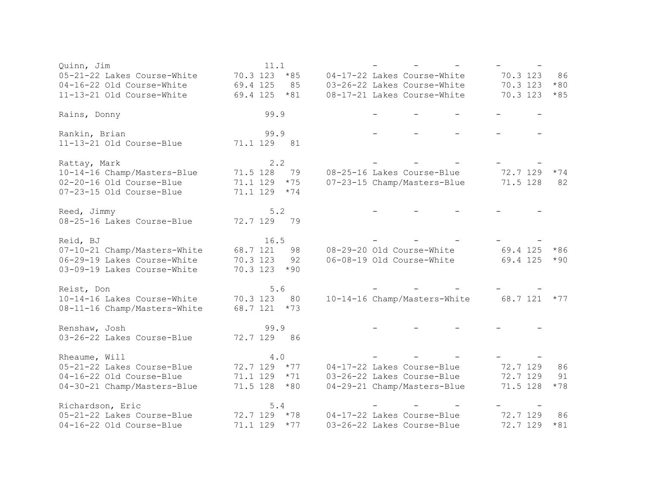| Quinn, Jim                   | 11.1              |                              |                   |
|------------------------------|-------------------|------------------------------|-------------------|
| 05-21-22 Lakes Course-White  | 70.3 123<br>$*85$ | 04-17-22 Lakes Course-White  | 70.3 123<br>86    |
| 04-16-22 Old Course-White    | 69.4 125<br>85    | 03-26-22 Lakes Course-White  | 70.3 123<br>$*80$ |
| 11-13-21 Old Course-White    | 69.4 125<br>$*81$ | 08-17-21 Lakes Course-White  | 70.3 123<br>$*85$ |
| Rains, Donny                 | 99.9              |                              |                   |
| Rankin, Brian                | 99.9              |                              |                   |
| 11-13-21 Old Course-Blue     | 81<br>71.1 129    |                              |                   |
| Rattay, Mark                 | 2.2               |                              |                   |
| 10-14-16 Champ/Masters-Blue  | 71.5 128<br>79    | 08-25-16 Lakes Course-Blue   | 72.7 129<br>$*74$ |
| 02-20-16 Old Course-Blue     | 71.1 129<br>$*75$ | 07-23-15 Champ/Masters-Blue  | 71.5 128<br>82    |
| 07-23-15 Old Course-Blue     | 71.1 129<br>$*74$ |                              |                   |
| Reed, Jimmy                  | 5.2               |                              |                   |
| 08-25-16 Lakes Course-Blue   | 72.7 129<br>79    |                              |                   |
| Reid, BJ                     | 16.5              |                              |                   |
| 07-10-21 Champ/Masters-White | 68.7 121<br>98    | 08-29-20 Old Course-White    | 69.4 125<br>$*86$ |
| 06-29-19 Lakes Course-White  | 70.3 123<br>92    | 06-08-19 Old Course-White    | 69.4 125<br>$*90$ |
| 03-09-19 Lakes Course-White  | 70.3 123<br>$*90$ |                              |                   |
| Reist, Don                   | 5.6               |                              |                   |
| 10-14-16 Lakes Course-White  | 70.3 123<br>80    | 10-14-16 Champ/Masters-White | $68.7$ 121 $*77$  |
| 08-11-16 Champ/Masters-White | 68.7 121 *73      |                              |                   |
| Renshaw, Josh                | 99.9              |                              |                   |
| 03-26-22 Lakes Course-Blue   | 72.7 129<br>86    |                              |                   |
| Rheaume, Will                | $4.0$             |                              |                   |
| 05-21-22 Lakes Course-Blue   | $72.7$ 129 $*77$  | 04-17-22 Lakes Course-Blue   | 72.7 129<br>86    |
| 04-16-22 Old Course-Blue     | $71.1$ 129 $*71$  | 03-26-22 Lakes Course-Blue   | 72.7 129<br>91    |
| 04-30-21 Champ/Masters-Blue  | 71.5 128<br>$*80$ | 04-29-21 Champ/Masters-Blue  | 71.5 128<br>$*78$ |
| Richardson, Eric             | $5.4$             |                              |                   |
| 05-21-22 Lakes Course-Blue   | $72.7$ 129 $*78$  | 04-17-22 Lakes Course-Blue   | 72.7 129<br>86    |
| 04-16-22 Old Course-Blue     | 71.1 129<br>$*77$ | 03-26-22 Lakes Course-Blue   | 72.7 129<br>$*81$ |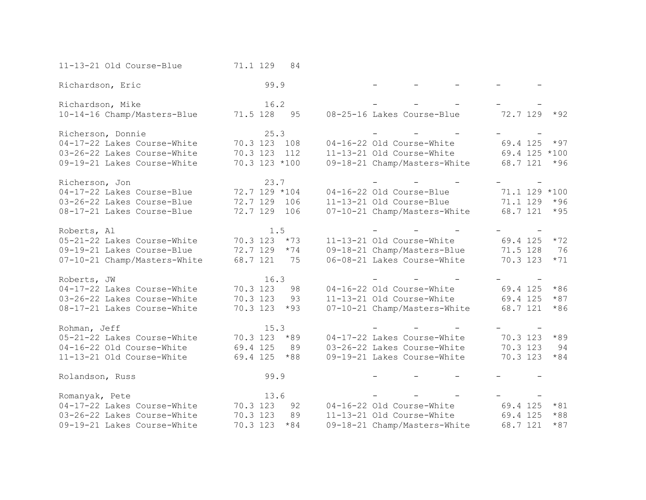| 11-13-21 Old Course-Blue     | 71.1 129      | 84    |                             |                              |                  |       |
|------------------------------|---------------|-------|-----------------------------|------------------------------|------------------|-------|
| Richardson, Eric             | 99.9          |       |                             |                              |                  |       |
| Richardson, Mike             | 16.2          |       |                             |                              |                  |       |
| 10-14-16 Champ/Masters-Blue  | 71.5 128      | 95    | 08-25-16 Lakes Course-Blue  |                              | $72.7$ 129 $*92$ |       |
| Richerson, Donnie            | 25.3          |       |                             |                              |                  |       |
| 04-17-22 Lakes Course-White  | 70.3 123 108  |       | 04-16-22 Old Course-White   |                              | 69.4 125         | $*97$ |
| 03-26-22 Lakes Course-White  | 70.3 123      | 112   |                             | 11-13-21 Old Course-White    | 69.4 125 *100    |       |
| 09-19-21 Lakes Course-White  | 70.3 123 *100 |       |                             | 09-18-21 Champ/Masters-White | 68.7 121         | $*96$ |
| Richerson, Jon               | 23.7          |       |                             |                              |                  |       |
| 04-17-22 Lakes Course-Blue   | 72.7 129 *104 |       | 04-16-22 Old Course-Blue    |                              | 71.1 129 *100    |       |
| 03-26-22 Lakes Course-Blue   | 72.7 129 106  |       |                             | 11-13-21 Old Course-Blue     | 71.1 129         | $*96$ |
| 08-17-21 Lakes Course-Blue   | 72.7 129 106  |       |                             | 07-10-21 Champ/Masters-White | 68.7 121         | $*95$ |
| Roberts, Al                  | 1.5           |       |                             |                              |                  |       |
| 05-21-22 Lakes Course-White  | 70.3 123      | $*73$ | 11-13-21 Old Course-White   |                              | 69.4 125         | $*72$ |
| 09-19-21 Lakes Course-Blue   | 72.7 129      | $*74$ | 09-18-21 Champ/Masters-Blue |                              | 71.5 128         | 76    |
| 07-10-21 Champ/Masters-White | 68.7 121      | 75    |                             | 06-08-21 Lakes Course-White  | 70.3 123         | $*71$ |
| Roberts, JW                  | 16.3          |       |                             |                              |                  |       |
| 04-17-22 Lakes Course-White  | 70.3 123      | 98    | 04-16-22 Old Course-White   |                              | 69.4 125         | $*86$ |
| 03-26-22 Lakes Course-White  | 70.3 123      | 93    |                             | 11-13-21 Old Course-White    | 69.4 125         | $*87$ |
| 08-17-21 Lakes Course-White  | 70.3 123      | $*93$ |                             | 07-10-21 Champ/Masters-White | 68.7 121         | $*86$ |
| Rohman, Jeff                 | 15.3          |       |                             |                              |                  |       |
| 05-21-22 Lakes Course-White  | 70.3 123      | $*89$ | 04-17-22 Lakes Course-White |                              | 70.3 123         | $*89$ |
| 04-16-22 Old Course-White    | 69.4 125      | 89    | 03-26-22 Lakes Course-White |                              | 70.3 123         | 94    |
| 11-13-21 Old Course-White    | 69.4 125      | $*88$ |                             | 09-19-21 Lakes Course-White  | 70.3 123         | $*84$ |
| Rolandson, Russ              | 99.9          |       |                             |                              |                  |       |
| Romanyak, Pete               | 13.6          |       |                             |                              |                  |       |
| 04-17-22 Lakes Course-White  | 70.3 123      | 92    | 04-16-22 Old Course-White   |                              | 69.4 125         | $*81$ |
| 03-26-22 Lakes Course-White  | 70.3 123      | 89    | 11-13-21 Old Course-White   |                              | 69.4 125         | $*88$ |
| 09-19-21 Lakes Course-White  | 70.3 123      | $*84$ |                             | 09-18-21 Champ/Masters-White | 68.7 121         | $*87$ |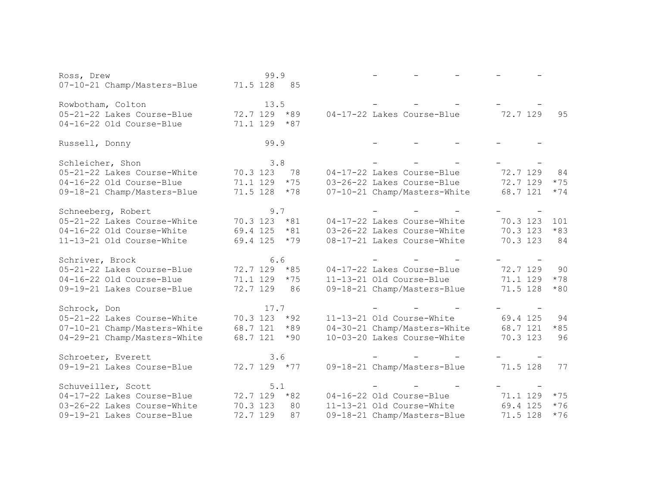| Ross, Drew                   | 99.9              |                              |                   |
|------------------------------|-------------------|------------------------------|-------------------|
| 07-10-21 Champ/Masters-Blue  | 71.5 128<br>85    |                              |                   |
|                              |                   |                              |                   |
| Rowbotham, Colton            | 13.5              |                              |                   |
| 05-21-22 Lakes Course-Blue   | 72.7 129<br>$*89$ | 04-17-22 Lakes Course-Blue   | 72.7 129<br>95    |
| 04-16-22 Old Course-Blue     | 71.1 129<br>$*87$ |                              |                   |
|                              |                   |                              |                   |
| Russell, Donny               | 99.9              |                              |                   |
|                              |                   |                              |                   |
| Schleicher, Shon             | 3.8               |                              |                   |
| 05-21-22 Lakes Course-White  | 70.3 123<br>78    | 04-17-22 Lakes Course-Blue   | 72.7 129<br>84    |
| 04-16-22 Old Course-Blue     | 71.1 129<br>$*75$ | 03-26-22 Lakes Course-Blue   | 72.7 129<br>$*75$ |
| 09-18-21 Champ/Masters-Blue  | 71.5 128<br>$*78$ | 07-10-21 Champ/Masters-White | 68.7 121<br>$*74$ |
|                              |                   |                              |                   |
| Schneeberg, Robert           | 9.7               |                              |                   |
| 05-21-22 Lakes Course-White  | 70.3 123<br>$*81$ | 04-17-22 Lakes Course-White  | 70.3 123<br>101   |
| 04-16-22 Old Course-White    | 69.4 125<br>$*81$ | 03-26-22 Lakes Course-White  | 70.3 123<br>$*83$ |
| 11-13-21 Old Course-White    | 69.4 125<br>$*79$ | 08-17-21 Lakes Course-White  | 70.3 123<br>84    |
|                              |                   |                              |                   |
| Schriver, Brock              | 6.6               |                              |                   |
| 05-21-22 Lakes Course-Blue   | 72.7 129<br>$*85$ | 04-17-22 Lakes Course-Blue   | 72.7 129<br>90    |
| 04-16-22 Old Course-Blue     | 71.1 129<br>$*75$ | 11-13-21 Old Course-Blue     | 71.1 129<br>$*78$ |
| 09-19-21 Lakes Course-Blue   | 72.7 129<br>86    | 09-18-21 Champ/Masters-Blue  | 71.5 128<br>$*80$ |
|                              |                   |                              |                   |
| Schrock, Don                 | 17.7              |                              |                   |
| 05-21-22 Lakes Course-White  | 70.3 123 *92      | 11-13-21 Old Course-White    | 69.4 125<br>94    |
| 07-10-21 Champ/Masters-White | 68.7 121<br>$*89$ | 04-30-21 Champ/Masters-White | 68.7 121<br>$*85$ |
| 04-29-21 Champ/Masters-White | 68.7 121<br>$*90$ | 10-03-20 Lakes Course-White  | 70.3 123<br>96    |
|                              |                   |                              |                   |
| Schroeter, Everett           | 3.6               |                              |                   |
| 09-19-21 Lakes Course-Blue   | 72.7 129 *77      | 09-18-21 Champ/Masters-Blue  | 71.5 128<br>77    |
|                              |                   |                              |                   |
| Schuveiller, Scott           | 5.1               |                              |                   |
| 04-17-22 Lakes Course-Blue   | $*82$<br>72.7 129 | 04-16-22 Old Course-Blue     | 71.1 129<br>$*75$ |
| 03-26-22 Lakes Course-White  | 70.3 123<br>80    | 11-13-21 Old Course-White    | 69.4 125<br>$*76$ |
| 09-19-21 Lakes Course-Blue   | 72.7 129<br>87    | 09-18-21 Champ/Masters-Blue  | 71.5 128<br>$*76$ |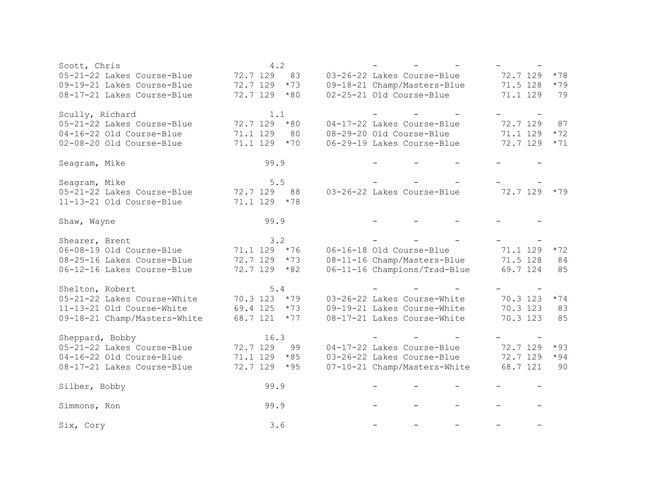| Scott, Chris                 | 4.2               |                              |          |       |
|------------------------------|-------------------|------------------------------|----------|-------|
| 05-21-22 Lakes Course-Blue   | 72.7 129<br>83    | 03-26-22 Lakes Course-Blue   | 72.7 129 | $*78$ |
| 09-19-21 Lakes Course-Blue   | 72.7 129<br>$*73$ | 09-18-21 Champ/Masters-Blue  | 71.5 128 | $*79$ |
| 08-17-21 Lakes Course-Blue   | 72.7 129<br>$*80$ | 02-25-21 Old Course-Blue     | 71.1 129 | 79    |
|                              |                   |                              |          |       |
| Scully, Richard              | 1.1               |                              |          |       |
| 05-21-22 Lakes Course-Blue   | 72.7 129<br>$*80$ | 04-17-22 Lakes Course-Blue   | 72.7 129 | 87    |
| 04-16-22 Old Course-Blue     | 71.1 129<br>80    | 08-29-20 Old Course-Blue     | 71.1 129 | $*72$ |
| 02-08-20 Old Course-Blue     | 71.1 129<br>$*70$ | 06-29-19 Lakes Course-Blue   | 72.7 129 | $*71$ |
|                              |                   |                              |          |       |
| Seagram, Mike                | 99.9              |                              |          |       |
|                              |                   |                              |          |       |
| Seagram, Mike                | 5.5               |                              |          |       |
| 05-21-22 Lakes Course-Blue   | 72.7 129<br>88    | 03-26-22 Lakes Course-Blue   | 72.7 129 | $*79$ |
| 11-13-21 Old Course-Blue     | 71.1 129<br>$*78$ |                              |          |       |
|                              |                   |                              |          |       |
| Shaw, Wayne                  | 99.9              |                              |          |       |
|                              |                   |                              |          |       |
| Shearer, Brent               | 3.2               |                              |          |       |
| 06-08-19 Old Course-Blue     | 71.1 129<br>$*76$ | 06-16-18 Old Course-Blue     | 71.1 129 | $*72$ |
| 08-25-16 Lakes Course-Blue   | 72.7 129<br>$*73$ | 08-11-16 Champ/Masters-Blue  | 71.5 128 | 84    |
| 06-12-16 Lakes Course-Blue   | 72.7 129<br>$*82$ | 06-11-16 Champions/Trad-Blue | 69.7 124 | 85    |
|                              |                   |                              |          |       |
| Shelton, Robert              | 5.4               |                              |          |       |
| 05-21-22 Lakes Course-White  | $70.3$ 123 $*79$  | 03-26-22 Lakes Course-White  | 70.3 123 | $*74$ |
| 11-13-21 Old Course-White    | 69.4 125<br>$*73$ | 09-19-21 Lakes Course-White  | 70.3 123 | 83    |
| 09-18-21 Champ/Masters-White | 68.7 121<br>$*77$ | 08-17-21 Lakes Course-White  | 70.3 123 | 85    |
|                              |                   |                              |          |       |
| Sheppard, Bobby              | 16.3              |                              |          |       |
| 05-21-22 Lakes Course-Blue   | 72.7 129<br>99    | 04-17-22 Lakes Course-Blue   | 72.7 129 | $*93$ |
| 04-16-22 Old Course-Blue     | 71.1 129<br>$*85$ | 03-26-22 Lakes Course-Blue   | 72.7 129 | $*94$ |
| 08-17-21 Lakes Course-Blue   | 72.7 129<br>$*95$ | 07-10-21 Champ/Masters-White | 68.7 121 | 90    |
|                              |                   |                              |          |       |
| Silber, Bobby                | 99.9              |                              |          |       |
|                              |                   |                              |          |       |
| Simmons, Ron                 | 99.9              |                              |          |       |
|                              |                   |                              |          |       |
| Six, Cory                    | 3.6               |                              |          |       |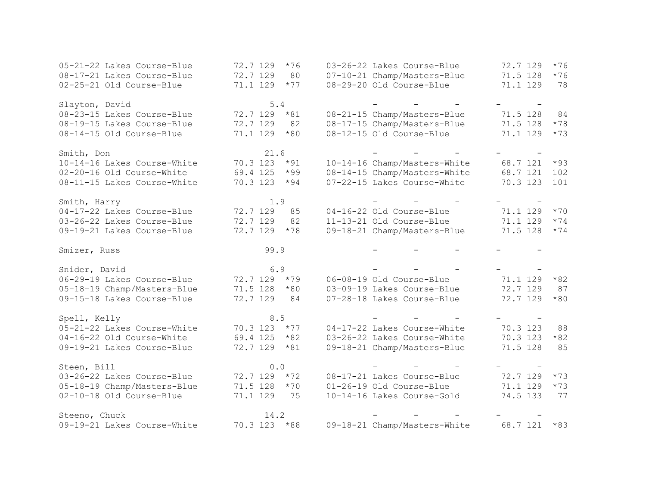| 05-21-22 Lakes Course-Blue  | 72.7 129<br>$*76$ | 03-26-22 Lakes Course-Blue   | 72.7 129<br>$*76$ |
|-----------------------------|-------------------|------------------------------|-------------------|
| 08-17-21 Lakes Course-Blue  | 72.7 129<br>80    | 07-10-21 Champ/Masters-Blue  | 71.5 128<br>$*76$ |
| 02-25-21 Old Course-Blue    | 71.1 129<br>$*77$ | 08-29-20 Old Course-Blue     | 71.1 129<br>78    |
| Slayton, David              | 5.4               |                              |                   |
| 08-23-15 Lakes Course-Blue  | 72.7 129 *81      | 08-21-15 Champ/Masters-Blue  | 71.5 128<br>84    |
| 08-19-15 Lakes Course-Blue  | 72.7 129<br>82    | 08-17-15 Champ/Masters-Blue  | 71.5 128<br>$*78$ |
| 08-14-15 Old Course-Blue    | 71.1 129<br>$*80$ | 08-12-15 Old Course-Blue     | 71.1 129<br>$*73$ |
| Smith, Don                  | 21.6              |                              |                   |
| 10-14-16 Lakes Course-White | 70.3 123<br>$*91$ | 10-14-16 Champ/Masters-White | 68.7 121<br>$*93$ |
| 02-20-16 Old Course-White   | $*99$<br>69.4 125 | 08-14-15 Champ/Masters-White | 68.7 121<br>102   |
| 08-11-15 Lakes Course-White | 70.3 123<br>$*94$ | 07-22-15 Lakes Course-White  | 70.3 123<br>101   |
| Smith, Harry                | 1.9               |                              |                   |
| 04-17-22 Lakes Course-Blue  | 72.7 129<br>85    | 04-16-22 Old Course-Blue     | 71.1 129<br>$*70$ |
| 03-26-22 Lakes Course-Blue  | 72.7 129<br>82    | 11-13-21 Old Course-Blue     | 71.1 129<br>$*74$ |
| 09-19-21 Lakes Course-Blue  | 72.7 129<br>$*78$ | 09-18-21 Champ/Masters-Blue  | 71.5 128<br>$*74$ |
| Smizer, Russ                | 99.9              |                              |                   |
| Snider, David               | 6.9               |                              |                   |
| 06-29-19 Lakes Course-Blue  | 72.7 129 *79      | 06-08-19 Old Course-Blue     | 71.1 129<br>$*82$ |
| 05-18-19 Champ/Masters-Blue | 71.5 128<br>$*80$ | 03-09-19 Lakes Course-Blue   | 72.7 129<br>87    |
| 09-15-18 Lakes Course-Blue  | 72.7 129<br>84    | 07-28-18 Lakes Course-Blue   | 72.7 129<br>$*80$ |
| Spell, Kelly                | 8.5               |                              |                   |
| 05-21-22 Lakes Course-White | 70.3 123<br>$*77$ | 04-17-22 Lakes Course-White  | 70.3 123<br>88    |
| 04-16-22 Old Course-White   | 69.4 125<br>$*82$ | 03-26-22 Lakes Course-White  | 70.3 123<br>$*82$ |
| 09-19-21 Lakes Course-Blue  | 72.7 129<br>$*81$ | 09-18-21 Champ/Masters-Blue  | 71.5 128<br>85    |
|                             |                   |                              |                   |
| Steen, Bill                 | 0.0               |                              |                   |
| 03-26-22 Lakes Course-Blue  | 72.7 129<br>$*72$ | 08-17-21 Lakes Course-Blue   | 72.7 129<br>$*73$ |
| 05-18-19 Champ/Masters-Blue | 71.5 128<br>$*70$ | 01-26-19 Old Course-Blue     | $*73$<br>71.1 129 |
| 02-10-18 Old Course-Blue    | 71.1 129<br>75    | 10-14-16 Lakes Course-Gold   | 74.5 133<br>77    |
| Steeno, Chuck               | 14.2              |                              |                   |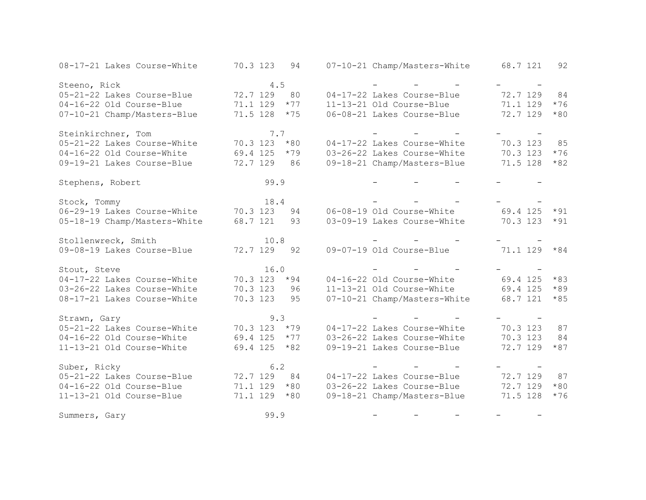| 08-17-21 Lakes Course-White  | 70.3 123<br>94    | 07-10-21 Champ/Masters-White      | 68.7 121<br>92    |
|------------------------------|-------------------|-----------------------------------|-------------------|
| Steeno, Rick                 | 4.5               |                                   |                   |
| 05-21-22 Lakes Course-Blue   | 72.7 129<br>80    | 04-17-22 Lakes Course-Blue        | 72.7 129<br>84    |
| 04-16-22 Old Course-Blue     | 71.1 129<br>$*77$ | 11-13-21 Old Course-Blue          | $*76$<br>71.1 129 |
| 07-10-21 Champ/Masters-Blue  | 71.5 128<br>$*75$ | 06-08-21 Lakes Course-Blue        | 72.7 129<br>$*80$ |
| Steinkirchner, Tom           | 7.7               |                                   |                   |
| 05-21-22 Lakes Course-White  | 70.3 123<br>$*80$ | 04-17-22 Lakes Course-White       | 70.3 123<br>85    |
| 04-16-22 Old Course-White    | 69.4 125<br>$*79$ | 03-26-22 Lakes Course-White       | 70.3 123<br>$*76$ |
| 09-19-21 Lakes Course-Blue   | 72.7 129<br>86    | 09-18-21 Champ/Masters-Blue       | 71.5 128<br>$*82$ |
| Stephens, Robert             | 99.9              |                                   |                   |
| Stock, Tommy                 | 18.4              |                                   |                   |
| 06-29-19 Lakes Course-White  | 70.3 123<br>94    | 06-08-19 Old Course-White         | 69.4 125<br>$*91$ |
| 05-18-19 Champ/Masters-White | 68.7 121<br>93    | 03-09-19 Lakes Course-White       | 70.3 123<br>$*91$ |
| Stollenwreck, Smith          | 10.8              |                                   |                   |
| 09-08-19 Lakes Course-Blue   | 72.7 129<br>92    | 09-07-19 Old Course-Blue          | 71.1 129<br>$*84$ |
| Stout, Steve                 | 16.0              |                                   |                   |
| 04-17-22 Lakes Course-White  | 70.3 123<br>$*94$ | 04-16-22 Old Course-White         | 69.4 125<br>$*83$ |
| 03-26-22 Lakes Course-White  | 70.3 123<br>96    | 11-13-21 Old Course-White         | 69.4 125<br>$*89$ |
| 08-17-21 Lakes Course-White  | 70.3 123<br>95    | 07-10-21 Champ/Masters-White      | 68.7 121<br>$*85$ |
| Strawn, Gary                 | 9.3               | and the state of the state of the |                   |
| 05-21-22 Lakes Course-White  | 70.3 123<br>$*79$ | 04-17-22 Lakes Course-White       | 70.3 123<br>87    |
| 04-16-22 Old Course-White    | 69.4 125<br>$*77$ | 03-26-22 Lakes Course-White       | 70.3 123<br>84    |
| 11-13-21 Old Course-White    | $*82$<br>69.4 125 | 09-19-21 Lakes Course-Blue        | 72.7 129<br>$*87$ |
| Suber, Ricky                 | 6.2               |                                   |                   |
| 05-21-22 Lakes Course-Blue   | 72.7 129<br>84    | 04-17-22 Lakes Course-Blue        | 72.7 129<br>87    |
| 04-16-22 Old Course-Blue     | $*80$<br>71.1 129 | 03-26-22 Lakes Course-Blue        | 72.7 129<br>$*80$ |
| 11-13-21 Old Course-Blue     | 71.1 129<br>$*80$ | 09-18-21 Champ/Masters-Blue       | 71.5 128<br>$*76$ |
| Summers, Gary                | 99.9              |                                   |                   |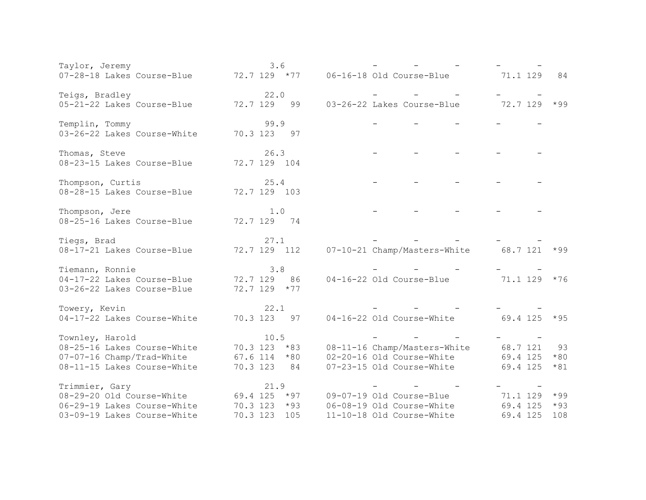| Taylor, Jeremy                                                         | 3.6                  |                                       |                   |
|------------------------------------------------------------------------|----------------------|---------------------------------------|-------------------|
| $07-28-18$ Lakes Course-Blue $72.7$ 129 $*77$ 06-16-18 Old Course-Blue |                      |                                       | 71.1 129<br>84    |
|                                                                        |                      |                                       |                   |
| Teigs, Bradley<br>05-21-22 Lakes Course-Blue                           | 22.0<br>72.7 129 99  | 03-26-22 Lakes Course-Blue            | 72.7 129<br>$*99$ |
|                                                                        |                      |                                       |                   |
| Templin, Tommy                                                         | 99.9                 |                                       |                   |
| 03-26-22 Lakes Course-White                                            | 70.3 123 97          |                                       |                   |
|                                                                        |                      |                                       |                   |
| Thomas, Steve<br>08-23-15 Lakes Course-Blue                            | 26.3<br>72.7 129 104 |                                       |                   |
|                                                                        |                      |                                       |                   |
| Thompson, Curtis                                                       | 25.4                 |                                       |                   |
| 08-28-15 Lakes Course-Blue                                             | 72.7 129 103         |                                       |                   |
|                                                                        |                      |                                       |                   |
| Thompson, Jere<br>08-25-16 Lakes Course-Blue                           | 1.0<br>72.7 129 74   |                                       |                   |
|                                                                        |                      |                                       |                   |
| Tiegs, Brad                                                            | 27.1                 |                                       |                   |
| 08-17-21 Lakes Course-Blue                                             | 72.7 129 112         | 07-10-21 Champ/Masters-White          | 68.7 121<br>$*99$ |
|                                                                        | 3.8                  |                                       |                   |
| Tiemann, Ronnie<br>04-17-22 Lakes Course-Blue                          | 72.7 129 86          | 04-16-22 Old Course-Blue              | 71.1 129<br>$*76$ |
| 03-26-22 Lakes Course-Blue                                             | $72.7$ 129 $*77$     |                                       |                   |
|                                                                        |                      |                                       |                   |
| Towery, Kevin                                                          | 22.1                 |                                       |                   |
| 04-17-22 Lakes Course-White                                            | 70.3 123<br>97       | 04-16-22 Old Course-White             | 69.4 125<br>$*95$ |
| Townley, Harold                                                        | 10.5                 |                                       |                   |
| 08-25-16 Lakes Course-White                                            | $70.3$ 123 $*83$     | 08-11-16 Champ/Masters-White          | 68.7 121<br>93    |
| 07-07-16 Champ/Trad-White                                              | $67.6$ 114 $*80$     | 02-20-16 Old Course-White             | 69.4 125<br>$*80$ |
| 08-11-15 Lakes Course-White                                            | 70.3 123 84          | 07-23-15 Old Course-White             | 69.4 125<br>$*81$ |
|                                                                        |                      |                                       |                   |
| Trimmier, Gary                                                         | 21.9                 |                                       |                   |
| 08-29-20 Old Course-White                                              |                      | 69.4 125 *97 09-07-19 Old Course-Blue | 71.1 129<br>$*99$ |
| 06-29-19 Lakes Course-White                                            | $70.3$ 123 $*93$     | 06-08-19 Old Course-White             | $*93$<br>69.4 125 |
| 03-09-19 Lakes Course-White                                            | 70.3 123<br>105      | 11-10-18 Old Course-White             | 69.4 125<br>108   |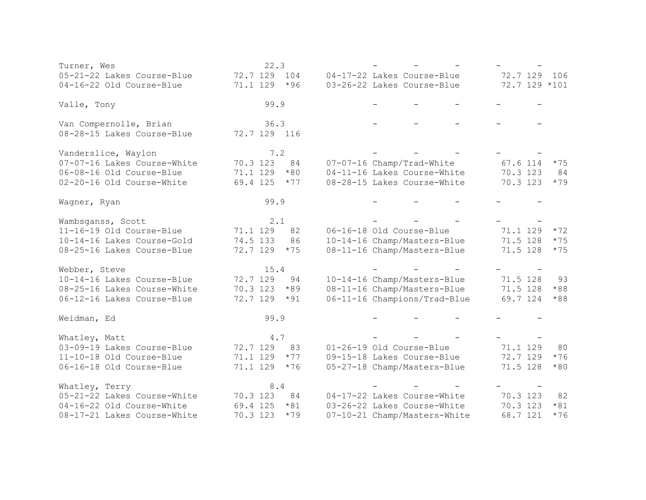| Turner, Wes                 | 22.3              |                              |                   |
|-----------------------------|-------------------|------------------------------|-------------------|
| 05-21-22 Lakes Course-Blue  | 72.7 129<br>104   | 04-17-22 Lakes Course-Blue   | 72.7 129<br>106   |
| 04-16-22 Old Course-Blue    | 71.1 129<br>$*96$ | 03-26-22 Lakes Course-Blue   | $72.7$ 129 $*101$ |
| Valle, Tony                 | 99.9              |                              |                   |
| Van Compernolle, Brian      | 36.3              |                              |                   |
| 08-28-15 Lakes Course-Blue  | 72.7 129 116      |                              |                   |
| Vanderslice, Waylon         | 7.2               |                              |                   |
| 07-07-16 Lakes Course-White | 70.3 123<br>84    | 07-07-16 Champ/Trad-White    | 67.6 114<br>$*75$ |
| 06-08-16 Old Course-Blue    | 71.1 129<br>$*80$ | 04-11-16 Lakes Course-White  | 70.3 123<br>84    |
| 02-20-16 Old Course-White   | 69.4 125<br>$*77$ | 08-28-15 Lakes Course-White  | 70.3 123<br>$*79$ |
| Wagner, Ryan                | 99.9              |                              |                   |
| Wambsganss, Scott           | 2.1               |                              |                   |
| 11-16-19 Old Course-Blue    | 71.1 129<br>82    | 06-16-18 Old Course-Blue     | $*72$<br>71.1 129 |
| 10-14-16 Lakes Course-Gold  | 74.5 133<br>86    | 10-14-16 Champ/Masters-Blue  | 71.5 128<br>$*75$ |
| 08-25-16 Lakes Course-Blue  | 72.7 129<br>$*75$ | 08-11-16 Champ/Masters-Blue  | 71.5 128<br>$*75$ |
| Webber, Steve               | 15.4              |                              |                   |
| 10-14-16 Lakes Course-Blue  | 72.7 129<br>94    | 10-14-16 Champ/Masters-Blue  | 71.5 128<br>93    |
| 08-25-16 Lakes Course-White | 70.3 123<br>$*89$ | 08-11-16 Champ/Masters-Blue  | 71.5 128<br>$*88$ |
| 06-12-16 Lakes Course-Blue  | 72.7 129<br>$*91$ | 06-11-16 Champions/Trad-Blue | 69.7 124<br>$*88$ |
| Weidman, Ed                 | 99.9              |                              |                   |
| Whatley, Matt               | 4.7               |                              |                   |
| 03-09-19 Lakes Course-Blue  | 83<br>72.7 129    | 01-26-19 Old Course-Blue     | 71.1 129<br>80    |
| 11-10-18 Old Course-Blue    | 71.1 129<br>$*77$ | 09-15-18 Lakes Course-Blue   | 72.7 129<br>$*76$ |
| 06-16-18 Old Course-Blue    | 71.1 129<br>$*76$ | 05-27-18 Champ/Masters-Blue  | 71.5 128<br>$*80$ |
| Whatley, Terry              | 8.4               |                              |                   |
| 05-21-22 Lakes Course-White | 84<br>70.3 123    | 04-17-22 Lakes Course-White  | 70.3 123<br>82    |
| 04-16-22 Old Course-White   | 69.4 125<br>$*81$ | 03-26-22 Lakes Course-White  | 70.3 123<br>$*81$ |
| 08-17-21 Lakes Course-White | 70.3 123<br>$*79$ | 07-10-21 Champ/Masters-White | 68.7 121<br>$*76$ |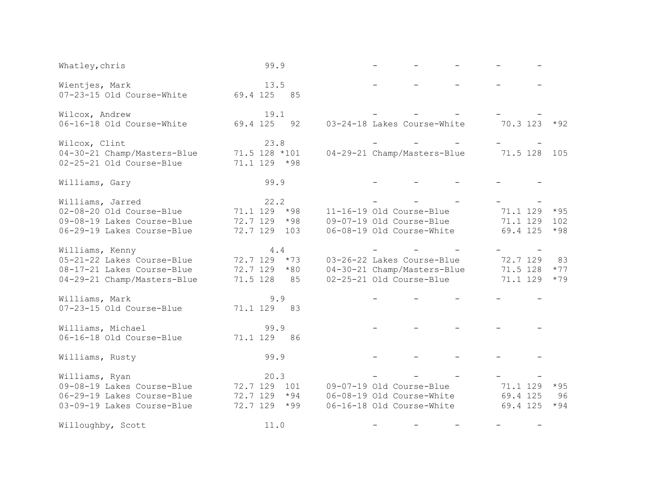| Whatley, chris                                                                                             | 99.9                                                              |                                                                                       |                                                           |
|------------------------------------------------------------------------------------------------------------|-------------------------------------------------------------------|---------------------------------------------------------------------------------------|-----------------------------------------------------------|
| Wientjes, Mark<br>07-23-15 Old Course-White                                                                | 13.5<br>69.4 125 85                                               |                                                                                       |                                                           |
| Wilcox, Andrew<br>06-16-18 Old Course-White                                                                | 19.1<br>69.4 125<br>92                                            | 03-24-18 Lakes Course-White                                                           | 70.3 123<br>$*92$                                         |
| Wilcox, Clint<br>04-30-21 Champ/Masters-Blue<br>02-25-21 Old Course-Blue                                   | 23.8<br>71.5 128 *101<br>71.1 129 *98                             | 04-29-21 Champ/Masters-Blue                                                           | 71.5 128 105                                              |
| Williams, Gary                                                                                             | 99.9                                                              |                                                                                       |                                                           |
| Williams, Jarred<br>02-08-20 Old Course-Blue<br>09-08-19 Lakes Course-Blue<br>06-29-19 Lakes Course-Blue   | 22.2<br>71.1 129<br>$*98$<br>72.7 129<br>$*98$<br>72.7 129<br>103 | 11-16-19 Old Course-Blue<br>09-07-19 Old Course-Blue<br>06-08-19 Old Course-White     | 71.1 129<br>$*95$<br>71.1 129<br>102<br>69.4 125<br>$*98$ |
| Williams, Kenny<br>05-21-22 Lakes Course-Blue<br>08-17-21 Lakes Course-Blue<br>04-29-21 Champ/Masters-Blue | 4.4<br>72.7 129<br>$*73$<br>72.7 129<br>$*80$<br>71.5 128<br>85   | 03-26-22 Lakes Course-Blue<br>04-30-21 Champ/Masters-Blue<br>02-25-21 Old Course-Blue | 72.7 129<br>83<br>71.5 128<br>$*77$<br>71.1 129<br>$*79$  |
| Williams, Mark<br>07-23-15 Old Course-Blue                                                                 | 9.9<br>71.1 129 83                                                |                                                                                       |                                                           |
| Williams, Michael<br>06-16-18 Old Course-Blue                                                              | 99.9<br>71.1 129<br>86                                            |                                                                                       |                                                           |
| Williams, Rusty                                                                                            | 99.9                                                              |                                                                                       |                                                           |
| Williams, Ryan<br>09-08-19 Lakes Course-Blue<br>06-29-19 Lakes Course-Blue<br>03-09-19 Lakes Course-Blue   | 20.3<br>72.7 129 101<br>$72.7$ 129 $*94$<br>72.7 129 *99          | 09-07-19 Old Course-Blue<br>06-08-19 Old Course-White<br>06-16-18 Old Course-White    | 71.1 129<br>$*95$<br>69.4 125<br>96<br>69.4 125<br>$*94$  |
| Willoughby, Scott                                                                                          | 11.0                                                              |                                                                                       |                                                           |